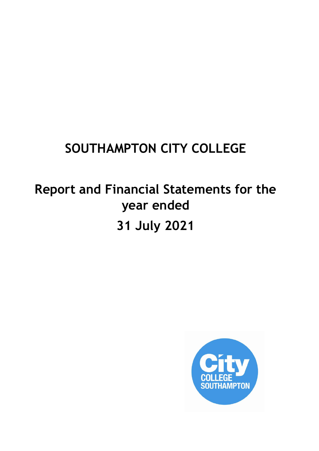# **SOUTHAMPTON CITY COLLEGE**

# **Report and Financial Statements for the year ended 31 July 2021**

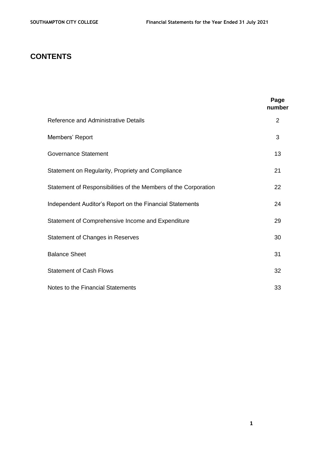# **CONTENTS**

|                                                                 | Page<br>number |
|-----------------------------------------------------------------|----------------|
| Reference and Administrative Details                            | 2              |
| Members' Report                                                 | 3              |
| <b>Governance Statement</b>                                     | 13             |
| Statement on Regularity, Propriety and Compliance               | 21             |
| Statement of Responsibilities of the Members of the Corporation | 22             |
| Independent Auditor's Report on the Financial Statements        | 24             |
| Statement of Comprehensive Income and Expenditure               | 29             |
| <b>Statement of Changes in Reserves</b>                         | 30             |
| <b>Balance Sheet</b>                                            | 31             |
| <b>Statement of Cash Flows</b>                                  | 32             |
| Notes to the Financial Statements                               | 33             |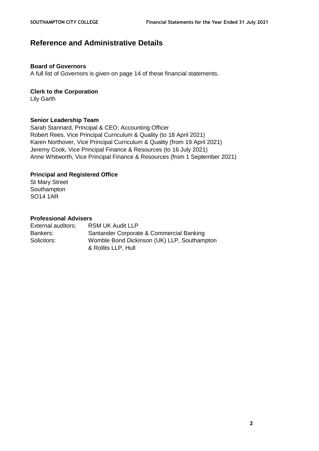# **Reference and Administrative Details**

#### **Board of Governors**

A full list of Governors is given on page 14 of these financial statements.

#### **Clerk to the Corporation**

Lily Garth

#### **Senior Leadership Team**

Sarah Stannard, Principal & CEO; Accounting Officer Robert Rees, Vice Principal Curriculum & Quality (to 18 April 2021) Karen Northover, Vice Principal Curriculum & Quality (from 19 April 2021) Jeremy Cook, Vice Principal Finance & Resources (to 16 July 2021) Anne Whitworth, Vice Principal Finance & Resources (from 1 September 2021)

#### **Principal and Registered Office**

St Mary Street Southampton SO14 1AR

#### **Professional Advisers**

| External auditors: | <b>RSM UK Audit LLP</b>                     |
|--------------------|---------------------------------------------|
| Bankers:           | Santander Corporate & Commercial Banking    |
| Solicitors:        | Womble Bond Dickinson (UK) LLP, Southampton |
|                    | & Rollits LLP, Hull                         |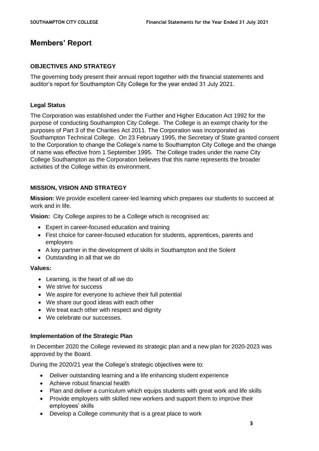# **Members' Report**

## **OBJECTIVES AND STRATEGY**

The governing body present their annual report together with the financial statements and auditor's report for Southampton City College for the year ended 31 July 2021.

# **Legal Status**

The Corporation was established under the Further and Higher Education Act 1992 for the purpose of conducting Southampton City College. The College is an exempt charity for the purposes of Part 3 of the Charities Act 2011. The Corporation was incorporated as Southampton Technical College. On 23 February 1995, the Secretary of State granted consent to the Corporation to change the College's name to Southampton City College and the change of name was effective from 1 September 1995. The College trades under the name City College Southampton as the Corporation believes that this name represents the broader activities of the College within its environment.

# **MISSION, VISION AND STRATEGY**

**Mission:** We provide excellent career-led learning which prepares our students to succeed at work and in life.

**Vision:** City College aspires to be a College which is recognised as:

- Expert in career-focused education and training
- First choice for career-focused education for students, apprentices, parents and employers
- A key partner in the development of skills in Southampton and the Solent
- Outstanding in all that we do

## **Values:**

- Learning, is the heart of all we do
- We strive for success
- We aspire for everyone to achieve their full potential
- We share our good ideas with each other
- We treat each other with respect and dignity
- We celebrate our successes.

#### **Implementation of the Strategic Plan**

In December 2020 the College reviewed its strategic plan and a new plan for 2020-2023 was approved by the Board.

During the 2020/21 year the College's strategic objectives were to:

- Deliver outstanding learning and a life enhancing student experience
- Achieve robust financial health
- Plan and deliver a curriculum which equips students with great work and life skills
- Provide employers with skilled new workers and support them to improve their employees' skills
- Develop a College community that is a great place to work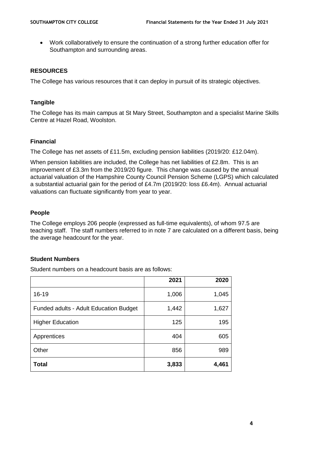• Work collaboratively to ensure the continuation of a strong further education offer for Southampton and surrounding areas.

# **RESOURCES**

The College has various resources that it can deploy in pursuit of its strategic objectives.

# **Tangible**

The College has its main campus at St Mary Street, Southampton and a specialist Marine Skills Centre at Hazel Road, Woolston.

# **Financial**

The College has net assets of £11.5m, excluding pension liabilities (2019/20: £12.04m).

When pension liabilities are included, the College has net liabilities of £2.8m. This is an improvement of £3.3m from the 2019/20 figure. This change was caused by the annual actuarial valuation of the Hampshire County Council Pension Scheme (LGPS) which calculated a substantial actuarial gain for the period of £4.7m (2019/20: loss £6.4m). Annual actuarial valuations can fluctuate significantly from year to year.

# **People**

The College employs 206 people (expressed as full-time equivalents), of whom 97.5 are teaching staff. The staff numbers referred to in note 7 are calculated on a different basis, being the average headcount for the year.

#### **Student Numbers**

Student numbers on a headcount basis are as follows:

|                                        | 2021  | 2020  |
|----------------------------------------|-------|-------|
| $16 - 19$                              | 1,006 | 1,045 |
| Funded adults - Adult Education Budget | 1,442 | 1,627 |
| <b>Higher Education</b>                | 125   | 195   |
| Apprentices                            | 404   | 605   |
| Other                                  | 856   | 989   |
| Total                                  | 3,833 | 4,461 |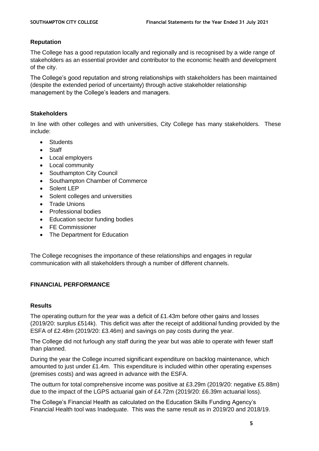# **Reputation**

The College has a good reputation locally and regionally and is recognised by a wide range of stakeholders as an essential provider and contributor to the economic health and development of the city.

The College's good reputation and strong relationships with stakeholders has been maintained (despite the extended period of uncertainty) through active stakeholder relationship management by the College's leaders and managers.

#### **Stakeholders**

In line with other colleges and with universities, City College has many stakeholders. These include:

- Students
- Staff
- Local employers
- Local community
- Southampton City Council
- Southampton Chamber of Commerce
- Solent LEP
- Solent colleges and universities
- Trade Unions
- Professional bodies
- Education sector funding bodies
- FE Commissioner
- The Department for Education

The College recognises the importance of these relationships and engages in regular communication with all stakeholders through a number of different channels.

## **FINANCIAL PERFORMANCE**

#### **Results**

The operating outturn for the year was a deficit of £1.43m before other gains and losses (2019/20: surplus £514k). This deficit was after the receipt of additional funding provided by the ESFA of £2.48m (2019/20: £3.46m) and savings on pay costs during the year.

The College did not furlough any staff during the year but was able to operate with fewer staff than planned.

During the year the College incurred significant expenditure on backlog maintenance, which amounted to just under £1.4m. This expenditure is included within other operating expenses (premises costs) and was agreed in advance with the ESFA.

The outturn for total comprehensive income was positive at £3.29m (2019/20: negative £5.88m) due to the impact of the LGPS actuarial gain of £4.72m (2019/20: £6.39m actuarial loss).

The College's Financial Health as calculated on the Education Skills Funding Agency's Financial Health tool was Inadequate. This was the same result as in 2019/20 and 2018/19.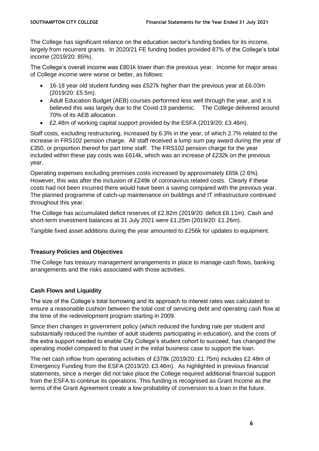The College has significant reliance on the education sector's funding bodies for its income, largely from recurrent grants. In 2020/21 FE funding bodies provided 87% of the College's total income (2019/20: 85%).

The College's overall income was £801k lower than the previous year. Income for major areas of College income were worse or better, as follows:

- 16-18 year old student funding was £527k higher than the previous year at £6.03m (2019/20: £5.5m).
- Adult Education Budget (AEB) courses performed less well through the year, and it is believed this was largely due to the Covid-19 pandemic. The College delivered around 70% of its AEB allocation.
- £2.48m of working capital support provided by the ESFA (2019/20: £3.46m).

Staff costs, excluding restructuring, increased by 6.3% in the year, of which 2.7% related to the increase in FRS102 pension charge. All staff received a lump sum pay award during the year of £350, or proportion thereof for part time staff. The FRS102 pension charge for the year included within these pay costs was £614k, which was an increase of £232k on the previous year.

Operating expenses excluding premises costs increased by approximately £65k (2.6%). However, this was after the inclusion of £249k of coronavirus related costs. Clearly if these costs had not been incurred there would have been a saving compared with the previous year. The planned programme of catch-up maintenance on buildings and IT infrastructure continued throughout this year.

The College has accumulated deficit reserves of £2.82m (2019/20: deficit £6.11m). Cash and short-term investment balances at 31 July 2021 were £1.25m (2019/20: £1.26m).

Tangible fixed asset additions during the year amounted to £256k for updates to equipment.

# **Treasury Policies and Objectives**

The College has treasury management arrangements in place to manage cash flows, banking arrangements and the risks associated with those activities.

# **Cash Flows and Liquidity**

The size of the College's total borrowing and its approach to interest rates was calculated to ensure a reasonable cushion between the total cost of servicing debt and operating cash flow at the time of the redevelopment program starting in 2009.

Since then changes in government policy (which reduced the funding rate per student and substantially reduced the number of adult students participating in education), and the costs of the extra support needed to enable City College's student cohort to succeed, has changed the operating model compared to that used in the initial business case to support the loan.

The net cash inflow from operating activities of £378k (2019/20: £1.75m) includes £2.48m of Emergency Funding from the ESFA (2019/20: £3.46m). As highlighted in previous financial statements, since a merger did not take place the College required additional financial support from the ESFA to continue its operations. This funding is recognised as Grant Income as the terms of the Grant Agreement create a low probability of conversion to a loan in the future.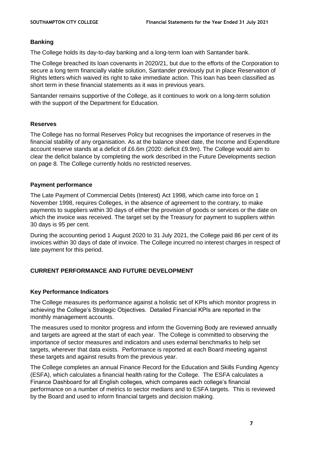# **Banking**

The College holds its day-to-day banking and a long-term loan with Santander bank.

The College breached its loan covenants in 2020/21, but due to the efforts of the Corporation to secure a long term financially viable solution, Santander previously put in place Reservation of Rights letters which waived its right to take immediate action. This loan has been classified as short term in these financial statements as it was in previous years.

Santander remains supportive of the College, as it continues to work on a long-term solution with the support of the Department for Education.

# **Reserves**

The College has no formal Reserves Policy but recognises the importance of reserves in the financial stability of any organisation. As at the balance sheet date, the Income and Expenditure account reserve stands at a deficit of £6.6m (2020: deficit £9.9m). The College would aim to clear the deficit balance by completing the work described in the Future Developments section on page 8. The College currently holds no restricted reserves.

#### **Payment performance**

The Late Payment of Commercial Debts (Interest) Act 1998, which came into force on 1 November 1998, requires Colleges, in the absence of agreement to the contrary, to make payments to suppliers within 30 days of either the provision of goods or services or the date on which the invoice was received. The target set by the Treasury for payment to suppliers within 30 days is 95 per cent.

During the accounting period 1 August 2020 to 31 July 2021, the College paid 86 per cent of its invoices within 30 days of date of invoice. The College incurred no interest charges in respect of late payment for this period.

# **CURRENT PERFORMANCE AND FUTURE DEVELOPMENT**

#### **Key Performance Indicators**

The College measures its performance against a holistic set of KPIs which monitor progress in achieving the College's Strategic Objectives. Detailed Financial KPIs are reported in the monthly management accounts.

The measures used to monitor progress and inform the Governing Body are reviewed annually and targets are agreed at the start of each year. The College is committed to observing the importance of sector measures and indicators and uses external benchmarks to help set targets, wherever that data exists. Performance is reported at each Board meeting against these targets and against results from the previous year.

The College completes an annual Finance Record for the Education and Skills Funding Agency (ESFA), which calculates a financial health rating for the College. The ESFA calculates a Finance Dashboard for all English colleges, which compares each college's financial performance on a number of metrics to sector medians and to ESFA targets. This is reviewed by the Board and used to inform financial targets and decision making.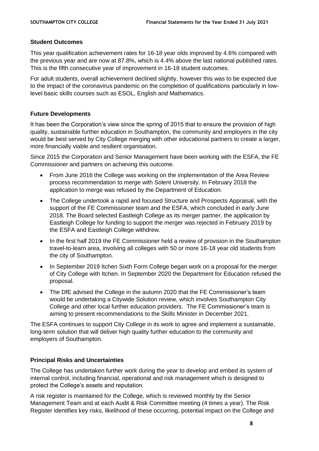#### **Student Outcomes**

This year qualification achievement rates for 16-18 year olds improved by 4.6% compared with the previous year and are now at 87.8%, which is 4.4% above the last national published rates. This is the fifth consecutive year of improvement in 16-18 student outcomes.

For adult students, overall achievement declined slightly, however this was to be expected due to the impact of the coronavirus pandemic on the completion of qualifications particularly in lowlevel basic skills courses such as ESOL, English and Mathematics.

# **Future Developments**

It has been the Corporation's view since the spring of 2015 that to ensure the provision of high quality, sustainable further education in Southampton, the community and employers in the city would be best served by City College merging with other educational partners to create a larger, more financially viable and resilient organisation.

Since 2015 the Corporation and Senior Management have been working with the ESFA, the FE Commissioner and partners on achieving this outcome.

- From June 2016 the College was working on the implementation of the Area Review process recommendation to merge with Solent University. In February 2018 the application to merge was refused by the Department of Education.
- The College undertook a rapid and focused Structure and Prospects Appraisal, with the support of the FE Commissioner team and the ESFA, which concluded in early June 2018. The Board selected Eastleigh College as its merger partner, the application by Eastleigh College for funding to support the merger was rejected in February 2019 by the ESFA and Eastleigh College withdrew.
- In the first half 2019 the FE Commissioner held a review of provision in the Southampton travel-to-learn area, involving all colleges with 50 or more 16-18 year old students from the city of Southampton.
- In September 2019 Itchen Sixth Form College began work on a proposal for the merger of City College with Itchen. In September 2020 the Department for Education refused the proposal.
- The DfE advised the College in the autumn 2020 that the FE Commissioner's team would be undertaking a Citywide Solution review, which involves Southampton City College and other local further education providers. The FE Commissioner's team is aiming to present recommendations to the Skills Minister in December 2021.

The ESFA continues to support City College in its work to agree and implement a sustainable, long-term solution that will deliver high quality further education to the community and employers of Southampton.

# **Principal Risks and Uncertainties**

The College has undertaken further work during the year to develop and embed its system of internal control, including financial, operational and risk management which is designed to protect the College's assets and reputation.

A risk register is maintained for the College, which is reviewed monthly by the Senior Management Team and at each Audit & Risk Committee meeting (4 times a year). The Risk Register identifies key risks, likelihood of these occurring, potential impact on the College and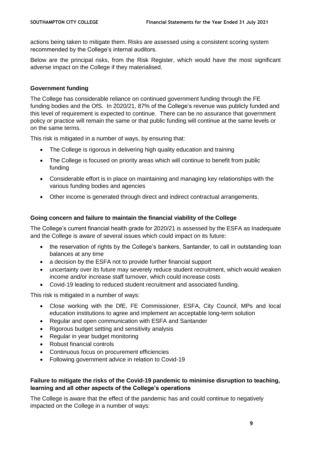actions being taken to mitigate them. Risks are assessed using a consistent scoring system recommended by the College's internal auditors.

Below are the principal risks, from the Risk Register, which would have the most significant adverse impact on the College if they materialised.

#### **Government funding**

The College has considerable reliance on continued government funding through the FE funding bodies and the OfS. In 2020/21, 87% of the College's revenue was publicly funded and this level of requirement is expected to continue. There can be no assurance that government policy or practice will remain the same or that public funding will continue at the same levels or on the same terms.

This risk is mitigated in a number of ways, by ensuring that:

- The College is rigorous in delivering high quality education and training
- The College is focused on priority areas which will continue to benefit from public funding
- Considerable effort is in place on maintaining and managing key relationships with the various funding bodies and agencies
- Other income is generated through direct and indirect contractual arrangements.

# **Going concern and failure to maintain the financial viability of the College**

The College's current financial health grade for 2020/21 is assessed by the ESFA as Inadequate and the College is aware of several issues which could impact on its future:

- the reservation of rights by the College's bankers, Santander, to call in outstanding loan balances at any time
- a decision by the ESFA not to provide further financial support
- uncertainty over its future may severely reduce student recruitment, which would weaken income and/or increase staff turnover, which could increase costs
- Covid-19 leading to reduced student recruitment and associated funding.

This risk is mitigated in a number of ways:

- Close working with the DfE, FE Commissioner, ESFA, City Council, MPs and local education institutions to agree and implement an acceptable long-term solution
- Regular and open communication with ESFA and Santander
- Rigorous budget setting and sensitivity analysis
- Regular in year budget monitoring
- Robust financial controls
- Continuous focus on procurement efficiencies
- Following government advice in relation to Covid-19

# **Failure to mitigate the risks of the Covid-19 pandemic to minimise disruption to teaching, learning and all other aspects of the College's operations**

The College is aware that the effect of the pandemic has and could continue to negatively impacted on the College in a number of ways: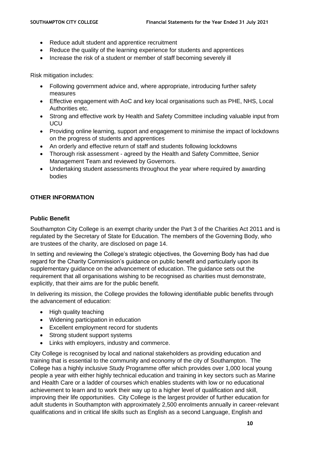- Reduce adult student and apprentice recruitment
- Reduce the quality of the learning experience for students and apprentices
- Increase the risk of a student or member of staff becoming severely ill

Risk mitigation includes:

- Following government advice and, where appropriate, introducing further safety measures
- Effective engagement with AoC and key local organisations such as PHE, NHS, Local Authorities etc.
- Strong and effective work by Health and Safety Committee including valuable input from **UCU**
- Providing online learning, support and engagement to minimise the impact of lockdowns on the progress of students and apprentices
- An orderly and effective return of staff and students following lockdowns
- Thorough risk assessment agreed by the Health and Safety Committee, Senior Management Team and reviewed by Governors.
- Undertaking student assessments throughout the year where required by awarding bodies

# **OTHER INFORMATION**

# **Public Benefit**

Southampton City College is an exempt charity under the Part 3 of the Charities Act 2011 and is regulated by the Secretary of State for Education. The members of the Governing Body, who are trustees of the charity, are disclosed on page 14.

In setting and reviewing the College's strategic objectives, the Governing Body has had due regard for the Charity Commission's guidance on public benefit and particularly upon its supplementary guidance on the advancement of education. The guidance sets out the requirement that all organisations wishing to be recognised as charities must demonstrate, explicitly, that their aims are for the public benefit.

In delivering its mission, the College provides the following identifiable public benefits through the advancement of education:

- High quality teaching
- Widening participation in education
- Excellent employment record for students
- Strong student support systems
- Links with employers, industry and commerce.

City College is recognised by local and national stakeholders as providing education and training that is essential to the community and economy of the city of Southampton. The College has a highly inclusive Study Programme offer which provides over 1,000 local young people a year with either highly technical education and training in key sectors such as Marine and Health Care or a ladder of courses which enables students with low or no educational achievement to learn and to work their way up to a higher level of qualification and skill, improving their life opportunities. City College is the largest provider of further education for adult students in Southampton with approximately 2,500 enrolments annually in career-relevant qualifications and in critical life skills such as English as a second Language, English and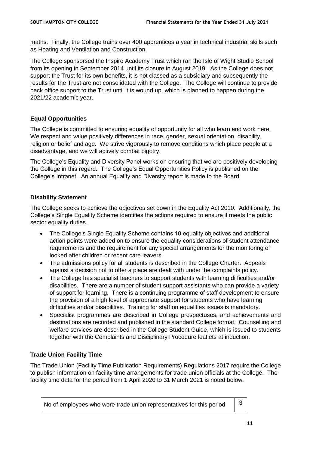maths. Finally, the College trains over 400 apprentices a year in technical industrial skills such as Heating and Ventilation and Construction.

The College sponsorsed the Inspire Academy Trust which ran the Isle of Wight Studio School from its opening in September 2014 until its closure in August 2019. As the College does not support the Trust for its own benefits, it is not classed as a subsidiary and subsequently the results for the Trust are not consolidated with the College. The College will continue to provide back office support to the Trust until it is wound up, which is planned to happen during the 2021/22 academic year.

# **Equal Opportunities**

The College is committed to ensuring equality of opportunity for all who learn and work here. We respect and value positively differences in race, gender, sexual orientation, disability, religion or belief and age. We strive vigorously to remove conditions which place people at a disadvantage, and we will actively combat bigotry.

The College's Equality and Diversity Panel works on ensuring that we are positively developing the College in this regard. The College's Equal Opportunities Policy is published on the College's Intranet. An annual Equality and Diversity report is made to the Board.

# **Disability Statement**

The College seeks to achieve the objectives set down in the Equality Act 2010. Additionally, the College's Single Equality Scheme identifies the actions required to ensure it meets the public sector equality duties.

- The College's Single Equality Scheme contains 10 equality objectives and additional action points were added on to ensure the equality considerations of student attendance requirements and the requirement for any special arrangements for the monitoring of looked after children or recent care leavers.
- The admissions policy for all students is described in the College Charter. Appeals against a decision not to offer a place are dealt with under the complaints policy.
- The College has specialist teachers to support students with learning difficulties and/or disabilities. There are a number of student support assistants who can provide a variety of support for learning. There is a continuing programme of staff development to ensure the provision of a high level of appropriate support for students who have learning difficulties and/or disabilities. Training for staff on equalities issues is mandatory.
- Specialist programmes are described in College prospectuses, and achievements and destinations are recorded and published in the standard College format. Counselling and welfare services are described in the College Student Guide, which is issued to students together with the Complaints and Disciplinary Procedure leaflets at induction.

# **Trade Union Facility Time**

The Trade Union (Facility Time Publication Requirements) Regulations 2017 require the College to publish information on facility time arrangements for trade union officials at the College. The facility time data for the period from 1 April 2020 to 31 March 2021 is noted below.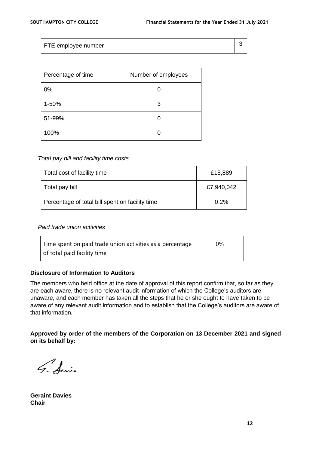FTE employee number 3

| Percentage of time | Number of employees |
|--------------------|---------------------|
| 0%                 |                     |
| 1-50%              | 3                   |
| 51-99%             |                     |
| 100%               |                     |

#### *Total pay bill and facility time costs*

| Total cost of facility time                     | £15,889    |
|-------------------------------------------------|------------|
| Total pay bill                                  | £7,940,042 |
| Percentage of total bill spent on facility time | 0.2%       |

#### *Paid trade union activities*

| Time spent on paid trade union activities as a percentage | 0% |
|-----------------------------------------------------------|----|
| of total paid facility time                               |    |

#### **Disclosure of Information to Auditors**

The members who held office at the date of approval of this report confirm that, so far as they are each aware, there is no relevant audit information of which the College's auditors are unaware, and each member has taken all the steps that he or she ought to have taken to be aware of any relevant audit information and to establish that the College's auditors are aware of that information.

**Approved by order of the members of the Corporation on 13 December 2021 and signed on its behalf by:**

G. Amis

**Geraint Davies Chair**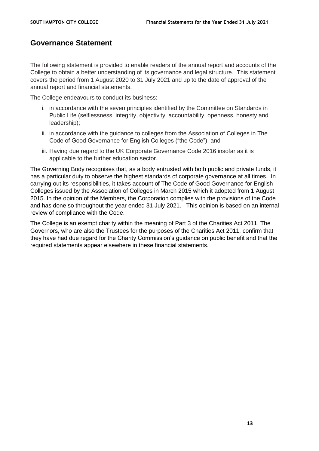# **Governance Statement**

The following statement is provided to enable readers of the annual report and accounts of the College to obtain a better understanding of its governance and legal structure. This statement covers the period from 1 August 2020 to 31 July 2021 and up to the date of approval of the annual report and financial statements.

The College endeavours to conduct its business:

- i. in accordance with the seven principles identified by the Committee on Standards in Public Life (selflessness, integrity, objectivity, accountability, openness, honesty and leadership);
- ii. in accordance with the guidance to colleges from the Association of Colleges in The Code of Good Governance for English Colleges ("the Code"); and
- iii. Having due regard to the UK Corporate Governance Code 2016 insofar as it is applicable to the further education sector.

The Governing Body recognises that, as a body entrusted with both public and private funds, it has a particular duty to observe the highest standards of corporate governance at all times. In carrying out its responsibilities, it takes account of The Code of Good Governance for English Colleges issued by the Association of Colleges in March 2015 which it adopted from 1 August 2015. In the opinion of the Members, the Corporation complies with the provisions of the Code and has done so throughout the year ended 31 July 2021. This opinion is based on an internal review of compliance with the Code.

The College is an exempt charity within the meaning of Part 3 of the Charities Act 2011. The Governors, who are also the Trustees for the purposes of the Charities Act 2011, confirm that they have had due regard for the Charity Commission's guidance on public benefit and that the required statements appear elsewhere in these financial statements.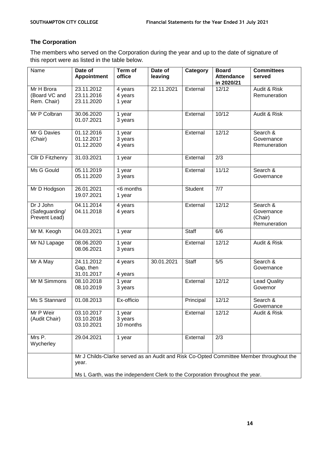# **The Corporation**

The members who served on the Corporation during the year and up to the date of signature of this report were as listed in the table below.

| Name                                         | Date of<br><b>Appointment</b>                                                                    | Term of<br>office              | Date of<br>leaving | Category     | <b>Board</b><br><b>Attendance</b><br>in 2020/21 | <b>Committees</b><br>served                       |
|----------------------------------------------|--------------------------------------------------------------------------------------------------|--------------------------------|--------------------|--------------|-------------------------------------------------|---------------------------------------------------|
| Mr H Brora<br>(Board VC and<br>Rem. Chair)   | 23.11.2012<br>23.11.2016<br>23.11.2020                                                           | 4 years<br>4 years<br>1 year   | 22.11.2021         | External     | 12/12                                           | Audit & Risk<br>Remuneration                      |
| Mr P Colbran                                 | 30.06.2020<br>01.07.2021                                                                         | 1 year<br>3 years              |                    | External     | 10/12                                           | Audit & Risk                                      |
| Mr G Davies<br>(Chair)                       | 01.12.2016<br>01.12.2017<br>01.12.2020                                                           | 1 year<br>3 years<br>4 years   |                    | External     | 12/12                                           | Search &<br>Governance<br>Remuneration            |
| Cllr D Fitzhenry                             | 31.03.2021                                                                                       | 1 year                         |                    | External     | 2/3                                             |                                                   |
| Ms G Gould                                   | 05.11.2019<br>05.11.2020                                                                         | 1 year<br>3 years              |                    | External     | 11/12                                           | Search &<br>Governance                            |
| Mr D Hodgson                                 | 26.01.2021<br>19.07.2021                                                                         | <6 months<br>1 year            |                    | Student      | 7/7                                             |                                                   |
| Dr J John<br>(Safeguarding/<br>Prevent Lead) | 04.11.2014<br>04.11.2018                                                                         | 4 years<br>4 years             |                    | External     | 12/12                                           | Search &<br>Governance<br>(Chair)<br>Remuneration |
| Mr M. Keogh                                  | 04.03.2021                                                                                       | 1 year                         |                    | <b>Staff</b> | 6/6                                             |                                                   |
| Mr NJ Lapage                                 | 08.06.2020<br>08.06.2021                                                                         | 1 year<br>3 years              |                    | External     | 12/12                                           | Audit & Risk                                      |
| Mr A May                                     | 24.11.2012<br>Gap, then<br>31.01.2017                                                            | 4 years<br>4 years             | 30.01.2021         | <b>Staff</b> | 5/5                                             | Search &<br>Governance                            |
| Mr M Simmons                                 | 08.10.2018<br>08.10.2019                                                                         | 1 year<br>3 years              |                    | External     | 12/12                                           | <b>Lead Quality</b><br>Governor                   |
| Ms S Stannard                                | 01.08.2013                                                                                       | Ex-officio                     |                    | Principal    | 12/12                                           | Search &<br>Governance                            |
| Mr P Weir<br>(Audit Chair)                   | 03.10.2017<br>03.10.2018<br>03.10.2021                                                           | 1 year<br>3 years<br>10 months |                    | External     | 12/12                                           | Audit & Risk                                      |
| Mrs P.<br>Wycherley                          | 29.04.2021                                                                                       | 1 year                         |                    | External     | 2/3                                             |                                                   |
|                                              | Mr J Childs-Clarke served as an Audit and Risk Co-Opted Committee Member throughout the<br>year. |                                |                    |              |                                                 |                                                   |
|                                              | Ms L Garth, was the independent Clerk to the Corporation throughout the year.                    |                                |                    |              |                                                 |                                                   |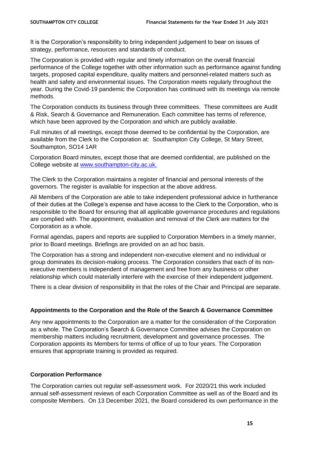It is the Corporation's responsibility to bring independent judgement to bear on issues of strategy, performance, resources and standards of conduct.

The Corporation is provided with regular and timely information on the overall financial performance of the College together with other information such as performance against funding targets, proposed capital expenditure, quality matters and personnel-related matters such as health and safety and environmental issues. The Corporation meets regularly throughout the year. During the Covid-19 pandemic the Corporation has continued with its meetings via remote methods.

The Corporation conducts its business through three committees. These committees are Audit & Risk, Search & Governance and Remuneration. Each committee has terms of reference, which have been approved by the Corporation and which are publicly available.

Full minutes of all meetings, except those deemed to be confidential by the Corporation, are available from the Clerk to the Corporation at: Southampton City College, St Mary Street, Southampton, SO14 1AR

Corporation Board minutes, except those that are deemed confidential, are published on the College website at [www.southampton-city.ac.uk.](http://www.southampton-city.ac.uk/)

The Clerk to the Corporation maintains a register of financial and personal interests of the governors. The register is available for inspection at the above address.

All Members of the Corporation are able to take independent professional advice in furtherance of their duties at the College's expense and have access to the Clerk to the Corporation, who is responsible to the Board for ensuring that all applicable governance procedures and regulations are complied with. The appointment, evaluation and removal of the Clerk are matters for the Corporation as a whole.

Formal agendas, papers and reports are supplied to Corporation Members in a timely manner, prior to Board meetings. Briefings are provided on an ad hoc basis.

The Corporation has a strong and independent non-executive element and no individual or group dominates its decision-making process. The Corporation considers that each of its nonexecutive members is independent of management and free from any business or other relationship which could materially interfere with the exercise of their independent judgement.

There is a clear division of responsibility in that the roles of the Chair and Principal are separate.

#### **Appointments to the Corporation and the Role of the Search & Governance Committee**

Any new appointments to the Corporation are a matter for the consideration of the Corporation as a whole. The Corporation's Search & Governance Committee advises the Corporation on membership matters including recruitment, development and governance processes. The Corporation appoints its Members for terms of office of up to four years. The Corporation ensures that appropriate training is provided as required.

#### **Corporation Performance**

The Corporation carries out regular self-assessment work. For 2020/21 this work included annual self-assessment reviews of each Corporation Committee as well as of the Board and its composite Members. On 13 December 2021, the Board considered its own performance in the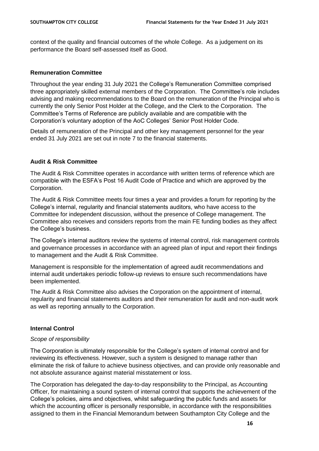context of the quality and financial outcomes of the whole College. As a judgement on its performance the Board self-assessed itself as Good.

#### **Remuneration Committee**

Throughout the year ending 31 July 2021 the College's Remuneration Committee comprised three appropriately skilled external members of the Corporation. The Committee's role includes advising and making recommendations to the Board on the remuneration of the Principal who is currently the only Senior Post Holder at the College, and the Clerk to the Corporation. The Committee's Terms of Reference are publicly available and are compatible with the Corporation's voluntary adoption of the AoC Colleges' Senior Post Holder Code.

Details of remuneration of the Principal and other key management personnel for the year ended 31 July 2021 are set out in note 7 to the financial statements.

#### **Audit & Risk Committee**

The Audit & Risk Committee operates in accordance with written terms of reference which are compatible with the ESFA's Post 16 Audit Code of Practice and which are approved by the Corporation.

The Audit & Risk Committee meets four times a year and provides a forum for reporting by the College's internal, regularity and financial statements auditors, who have access to the Committee for independent discussion, without the presence of College management. The Committee also receives and considers reports from the main FE funding bodies as they affect the College's business.

The College's internal auditors review the systems of internal control, risk management controls and governance processes in accordance with an agreed plan of input and report their findings to management and the Audit & Risk Committee.

Management is responsible for the implementation of agreed audit recommendations and internal audit undertakes periodic follow-up reviews to ensure such recommendations have been implemented.

The Audit & Risk Committee also advises the Corporation on the appointment of internal, regularity and financial statements auditors and their remuneration for audit and non-audit work as well as reporting annually to the Corporation.

#### **Internal Control**

#### *Scope of responsibility*

The Corporation is ultimately responsible for the College's system of internal control and for reviewing its effectiveness. However, such a system is designed to manage rather than eliminate the risk of failure to achieve business objectives, and can provide only reasonable and not absolute assurance against material misstatement or loss.

The Corporation has delegated the day-to-day responsibility to the Principal, as Accounting Officer, for maintaining a sound system of internal control that supports the achievement of the College's policies, aims and objectives, whilst safeguarding the public funds and assets for which the accounting officer is personally responsible, in accordance with the responsibilities assigned to them in the Financial Memorandum between Southampton City College and the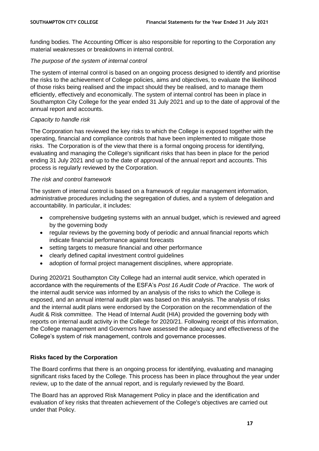funding bodies. The Accounting Officer is also responsible for reporting to the Corporation any material weaknesses or breakdowns in internal control.

# *The purpose of the system of internal control*

The system of internal control is based on an ongoing process designed to identify and prioritise the risks to the achievement of College policies, aims and objectives, to evaluate the likelihood of those risks being realised and the impact should they be realised, and to manage them efficiently, effectively and economically. The system of internal control has been in place in Southampton City College for the year ended 31 July 2021 and up to the date of approval of the annual report and accounts.

# *Capacity to handle risk*

The Corporation has reviewed the key risks to which the College is exposed together with the operating, financial and compliance controls that have been implemented to mitigate those risks. The Corporation is of the view that there is a formal ongoing process for identifying, evaluating and managing the College's significant risks that has been in place for the period ending 31 July 2021 and up to the date of approval of the annual report and accounts. This process is regularly reviewed by the Corporation.

# *The risk and control framework*

The system of internal control is based on a framework of regular management information, administrative procedures including the segregation of duties, and a system of delegation and accountability. In particular, it includes:

- comprehensive budgeting systems with an annual budget, which is reviewed and agreed by the governing body
- regular reviews by the governing body of periodic and annual financial reports which indicate financial performance against forecasts
- setting targets to measure financial and other performance
- clearly defined capital investment control guidelines
- adoption of formal project management disciplines, where appropriate.

During 2020/21 Southampton City College had an internal audit service, which operated in accordance with the requirements of the ESFA's *Post 16 Audit Code of Practice*. The work of the internal audit service was informed by an analysis of the risks to which the College is exposed, and an annual internal audit plan was based on this analysis. The analysis of risks and the internal audit plans were endorsed by the Corporation on the recommendation of the Audit & Risk committee. The Head of Internal Audit (HIA) provided the governing body with reports on internal audit activity in the College for 2020/21. Following receipt of this information, the College management and Governors have assessed the adequacy and effectiveness of the College's system of risk management, controls and governance processes.

# **Risks faced by the Corporation**

The Board confirms that there is an ongoing process for identifying, evaluating and managing significant risks faced by the College. This process has been in place throughout the year under review, up to the date of the annual report, and is regularly reviewed by the Board.

The Board has an approved Risk Management Policy in place and the identification and evaluation of key risks that threaten achievement of the College's objectives are carried out under that Policy.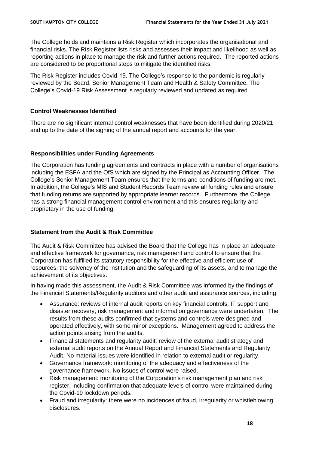The College holds and maintains a Risk Register which incorporates the organisational and financial risks. The Risk Register lists risks and assesses their impact and likelihood as well as reporting actions in place to manage the risk and further actions required. The reported actions are considered to be proportional steps to mitigate the identified risks.

The Risk Register includes Covid-19. The College's response to the pandemic is regularly reviewed by the Board, Senior Management Team and Health & Safety Committee. The College's Covid-19 Risk Assessment is regularly reviewed and updated as required.

# **Control Weaknesses Identified**

There are no significant internal control weaknesses that have been identified during 2020/21 and up to the date of the signing of the annual report and accounts for the year.

# **Responsibilities under Funding Agreements**

The Corporation has funding agreements and contracts in place with a number of organisations including the ESFA and the OfS which are signed by the Principal as Accounting Officer. The College's Senior Management Team ensures that the terms and conditions of funding are met. In addition, the College's MIS and Student Records Team review all funding rules and ensure that funding returns are supported by appropriate learner records. Furthermore, the College has a strong financial management control environment and this ensures regularity and proprietary in the use of funding.

# **Statement from the Audit & Risk Committee**

The Audit & Risk Committee has advised the Board that the College has in place an adequate and effective framework for governance, risk management and control to ensure that the Corporation has fulfilled its statutory responsibility for the effective and efficient use of resources, the solvency of the institution and the safeguarding of its assets, and to manage the achievement of its objectives.

In having made this assessment, the Audit & Risk Committee was informed by the findings of the Financial Statements/Regularity auditors and other audit and assurance sources, including:

- Assurance: reviews of internal audit reports on key financial controls, IT support and disaster recovery, risk management and information governance were undertaken. The results from these audits confirmed that systems and controls were designed and operated effectively, with some minor exceptions. Management agreed to address the action points arising from the audits.
- Financial statements and regularity audit: review of the external audit strategy and external audit reports on the Annual Report and Financial Statements and Regularity Audit. No material issues were identified in relation to external audit or regularity.
- Governance framework: monitoring of the adequacy and effectiveness of the governance framework. No issues of control were raised.
- Risk management: monitoring of the Corporation's risk management plan and risk register, including confirmation that adequate levels of control were maintained during the Covid-19 lockdown periods.
- Fraud and irregularity: there were no incidences of fraud, irregularity or whistleblowing disclosures.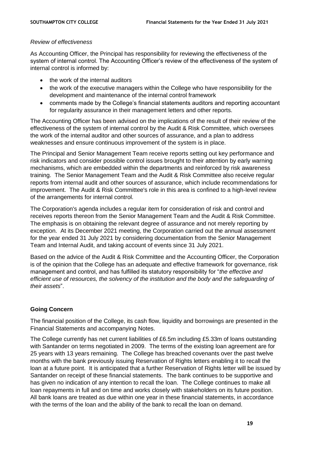#### *Review of effectiveness*

As Accounting Officer, the Principal has responsibility for reviewing the effectiveness of the system of internal control. The Accounting Officer's review of the effectiveness of the system of internal control is informed by:

- the work of the internal auditors
- the work of the executive managers within the College who have responsibility for the development and maintenance of the internal control framework
- comments made by the College's financial statements auditors and reporting accountant for regularity assurance in their management letters and other reports.

The Accounting Officer has been advised on the implications of the result of their review of the effectiveness of the system of internal control by the Audit & Risk Committee, which oversees the work of the internal auditor and other sources of assurance, and a plan to address weaknesses and ensure continuous improvement of the system is in place.

The Principal and Senior Management Team receive reports setting out key performance and risk indicators and consider possible control issues brought to their attention by early warning mechanisms, which are embedded within the departments and reinforced by risk awareness training. The Senior Management Team and the Audit & Risk Committee also receive regular reports from internal audit and other sources of assurance, which include recommendations for improvement. The Audit & Risk Committee's role in this area is confined to a high-level review of the arrangements for internal control.

The Corporation's agenda includes a regular item for consideration of risk and control and receives reports thereon from the Senior Management Team and the Audit & Risk Committee. The emphasis is on obtaining the relevant degree of assurance and not merely reporting by exception. At its December 2021 meeting, the Corporation carried out the annual assessment for the year ended 31 July 2021 by considering documentation from the Senior Management Team and Internal Audit, and taking account of events since 31 July 2021.

Based on the advice of the Audit & Risk Committee and the Accounting Officer, the Corporation is of the opinion that the College has an adequate and effective framework for governance, risk management and control, and has fulfilled its statutory responsibility for "*the effective and efficient use of resources, the solvency of the institution and the body and the safeguarding of their assets*".

# **Going Concern**

The financial position of the College, its cash flow, liquidity and borrowings are presented in the Financial Statements and accompanying Notes.

The College currently has net current liabilities of £6.5m including £5.33m of loans outstanding with Santander on terms negotiated in 2009. The terms of the existing loan agreement are for 25 years with 13 years remaining. The College has breached covenants over the past twelve months with the bank previously issuing Reservation of Rights letters enabling it to recall the loan at a future point. It is anticipated that a further Reservation of Rights letter will be issued by Santander on receipt of these financial statements. The bank continues to be supportive and has given no indication of any intention to recall the loan. The College continues to make all loan repayments in full and on time and works closely with stakeholders on its future position. All bank loans are treated as due within one year in these financial statements, in accordance with the terms of the loan and the ability of the bank to recall the loan on demand.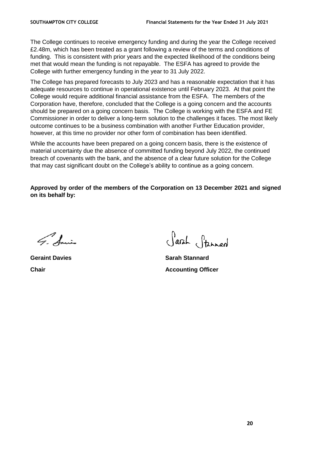The College continues to receive emergency funding and during the year the College received £2.48m, which has been treated as a grant following a review of the terms and conditions of funding. This is consistent with prior years and the expected likelihood of the conditions being met that would mean the funding is not repayable. The ESFA has agreed to provide the College with further emergency funding in the year to 31 July 2022.

The College has prepared forecasts to July 2023 and has a reasonable expectation that it has adequate resources to continue in operational existence until February 2023. At that point the College would require additional financial assistance from the ESFA. The members of the Corporation have, therefore, concluded that the College is a going concern and the accounts should be prepared on a going concern basis. The College is working with the ESFA and FE Commissioner in order to deliver a long-term solution to the challenges it faces. The most likely outcome continues to be a business combination with another Further Education provider, however, at this time no provider nor other form of combination has been identified.

While the accounts have been prepared on a going concern basis, there is the existence of material uncertainty due the absence of committed funding beyond July 2022, the continued breach of covenants with the bank, and the absence of a clear future solution for the College that may cast significant doubt on the College's ability to continue as a going concern.

**Approved by order of the members of the Corporation on 13 December 2021 and signed on its behalf by:**

G. Amis

Sarah Stannard

**Geraint Davies Sarah Stannard Chair Chair Accounting Officer**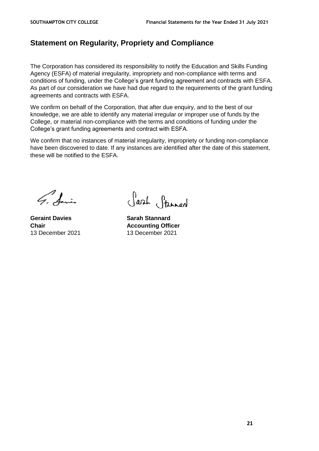# **Statement on Regularity, Propriety and Compliance**

The Corporation has considered its responsibility to notify the Education and Skills Funding Agency (ESFA) of material irregularity, impropriety and non-compliance with terms and conditions of funding, under the College's grant funding agreement and contracts with ESFA. As part of our consideration we have had due regard to the requirements of the grant funding agreements and contracts with ESFA.

We confirm on behalf of the Corporation, that after due enquiry, and to the best of our knowledge, we are able to identify any material irregular or improper use of funds by the College, or material non-compliance with the terms and conditions of funding under the College's grant funding agreements and contract with ESFA.

We confirm that no instances of material irregularity, impropriety or funding non-compliance have been discovered to date. If any instances are identified after the date of this statement, these will be notified to the ESFA.

G. Sainte

**Geraint Davies Sarah Stannard**

Sarah Stanned

**Chair Accounting Officer** 13 December 2021 13 December 2021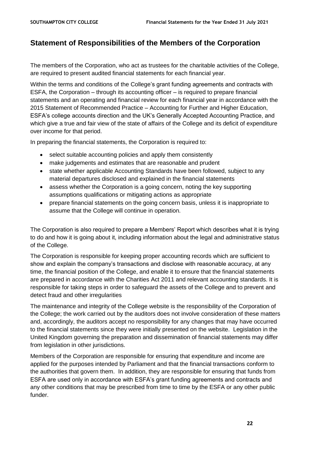# **Statement of Responsibilities of the Members of the Corporation**

The members of the Corporation, who act as trustees for the charitable activities of the College, are required to present audited financial statements for each financial year.

Within the terms and conditions of the College's grant funding agreements and contracts with ESFA, the Corporation – through its accounting officer – is required to prepare financial statements and an operating and financial review for each financial year in accordance with the 2015 Statement of Recommended Practice – Accounting for Further and Higher Education, ESFA's college accounts direction and the UK's Generally Accepted Accounting Practice, and which give a true and fair view of the state of affairs of the College and its deficit of expenditure over income for that period.

In preparing the financial statements, the Corporation is required to:

- select suitable accounting policies and apply them consistently
- make judgements and estimates that are reasonable and prudent
- state whether applicable Accounting Standards have been followed, subject to any material departures disclosed and explained in the financial statements
- assess whether the Corporation is a going concern, noting the key supporting assumptions qualifications or mitigating actions as appropriate
- prepare financial statements on the going concern basis, unless it is inappropriate to assume that the College will continue in operation.

The Corporation is also required to prepare a Members' Report which describes what it is trying to do and how it is going about it, including information about the legal and administrative status of the College.

The Corporation is responsible for keeping proper accounting records which are sufficient to show and explain the company's transactions and disclose with reasonable accuracy, at any time, the financial position of the College, and enable it to ensure that the financial statements are prepared in accordance with the Charities Act 2011 and relevant accounting standards. It is responsible for taking steps in order to safeguard the assets of the College and to prevent and detect fraud and other irregularities

The maintenance and integrity of the College website is the responsibility of the Corporation of the College; the work carried out by the auditors does not involve consideration of these matters and, accordingly, the auditors accept no responsibility for any changes that may have occurred to the financial statements since they were initially presented on the website. Legislation in the United Kingdom governing the preparation and dissemination of financial statements may differ from legislation in other jurisdictions.

Members of the Corporation are responsible for ensuring that expenditure and income are applied for the purposes intended by Parliament and that the financial transactions conform to the authorities that govern them. In addition, they are responsible for ensuring that funds from ESFA are used only in accordance with ESFA's grant funding agreements and contracts and any other conditions that may be prescribed from time to time by the ESFA or any other public funder.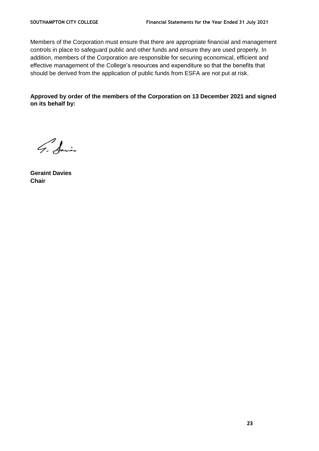Members of the Corporation must ensure that there are appropriate financial and management controls in place to safeguard public and other funds and ensure they are used properly. In addition, members of the Corporation are responsible for securing economical, efficient and effective management of the College's resources and expenditure so that the benefits that should be derived from the application of public funds from ESFA are not put at risk.

**Approved by order of the members of the Corporation on 13 December 2021 and signed on its behalf by:**

G. Sains

**Geraint Davies Chair**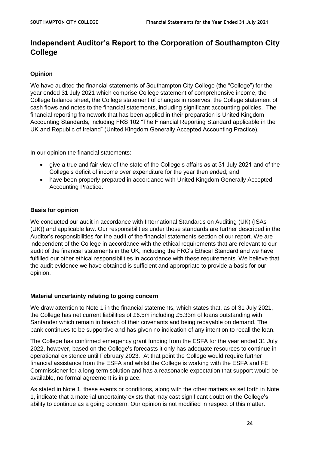# **Independent Auditor's Report to the Corporation of Southampton City College**

# **Opinion**

We have audited the financial statements of Southampton City College (the "College") for the year ended 31 July 2021 which comprise College statement of comprehensive income, the College balance sheet, the College statement of changes in reserves, the College statement of cash flows and notes to the financial statements, including significant accounting policies. The financial reporting framework that has been applied in their preparation is United Kingdom Accounting Standards, including FRS 102 "The Financial Reporting Standard applicable in the UK and Republic of Ireland" (United Kingdom Generally Accepted Accounting Practice).

In our opinion the financial statements:

- give a true and fair view of the state of the College's affairs as at 31 July 2021 and of the College's deficit of income over expenditure for the year then ended; and
- have been properly prepared in accordance with United Kingdom Generally Accepted Accounting Practice.

#### **Basis for opinion**

We conducted our audit in accordance with International Standards on Auditing (UK) (ISAs (UK)) and applicable law. Our responsibilities under those standards are further described in the Auditor's responsibilities for the audit of the financial statements section of our report. We are independent of the College in accordance with the ethical requirements that are relevant to our audit of the financial statements in the UK, including the FRC's Ethical Standard and we have fulfilled our other ethical responsibilities in accordance with these requirements. We believe that the audit evidence we have obtained is sufficient and appropriate to provide a basis for our opinion.

#### **Material uncertainty relating to going concern**

We draw attention to Note 1 in the financial statements, which states that, as of 31 July 2021, the College has net current liabilities of £6.5m including £5.33m of loans outstanding with Santander which remain in breach of their covenants and being repayable on demand. The bank continues to be supportive and has given no indication of any intention to recall the loan.

The College has confirmed emergency grant funding from the ESFA for the year ended 31 July 2022, however, based on the College's forecasts it only has adequate resources to continue in operational existence until February 2023. At that point the College would require further financial assistance from the ESFA and whilst the College is working with the ESFA and FE Commissioner for a long-term solution and has a reasonable expectation that support would be available, no formal agreement is in place.

As stated in Note 1, these events or conditions, along with the other matters as set forth in Note 1, indicate that a material uncertainty exists that may cast significant doubt on the College's ability to continue as a going concern. Our opinion is not modified in respect of this matter.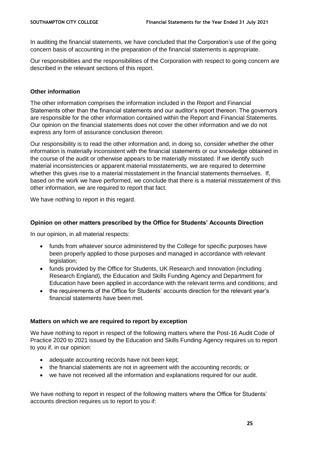In auditing the financial statements, we have concluded that the Corporation's use of the going concern basis of accounting in the preparation of the financial statements is appropriate.

Our responsibilities and the responsibilities of the Corporation with respect to going concern are described in the relevant sections of this report.

#### **Other information**

The other information comprises the information included in the Report and Financial Statements other than the financial statements and our auditor's report thereon. The governors are responsible for the other information contained within the Report and Financial Statements. Our opinion on the financial statements does not cover the other information and we do not express any form of assurance conclusion thereon.

Our responsibility is to read the other information and, in doing so, consider whether the other information is materially inconsistent with the financial statements or our knowledge obtained in the course of the audit or otherwise appears to be materially misstated. If we identify such material inconsistencies or apparent material misstatements, we are required to determine whether this gives rise to a material misstatement in the financial statements themselves. If, based on the work we have performed, we conclude that there is a material misstatement of this other information, we are required to report that fact.

We have nothing to report in this regard.

#### **Opinion on other matters prescribed by the Office for Students' Accounts Direction**

In our opinion, in all material respects:

- funds from whatever source administered by the College for specific purposes have been properly applied to those purposes and managed in accordance with relevant legislation;
- funds provided by the Office for Students, UK Research and Innovation (including Research England), the Education and Skills Funding Agency and Department for Education have been applied in accordance with the relevant terms and conditions; and
- the requirements of the Office for Students' accounts direction for the relevant year's financial statements have been met.

#### **Matters on which we are required to report by exception**

We have nothing to report in respect of the following matters where the Post-16 Audit Code of Practice 2020 to 2021 issued by the Education and Skills Funding Agency requires us to report to you if, in our opinion:

- adequate accounting records have not been kept;
- the financial statements are not in agreement with the accounting records; or
- we have not received all the information and explanations required for our audit.

We have nothing to report in respect of the following matters where the Office for Students' accounts direction requires us to report to you if: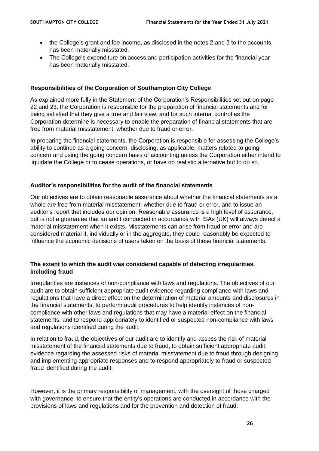- the College's grant and fee income, as disclosed in the notes 2 and 3 to the accounts, has been materially misstated.
- The College's expenditure on access and participation activities for the financial year has been materially misstated.

# **Responsibilities of the Corporation of Southampton City College**

As explained more fully in the Statement of the Corporation's Responsibilities set out on page 22 and 23, the Corporation is responsible for the preparation of financial statements and for being satisfied that they give a true and fair view, and for such internal control as the Corporation determine is necessary to enable the preparation of financial statements that are free from material misstatement, whether due to fraud or error.

In preparing the financial statements, the Corporation is responsible for assessing the College's ability to continue as a going concern, disclosing, as applicable, matters related to going concern and using the going concern basis of accounting unless the Corporation either intend to liquidate the College or to cease operations, or have no realistic alternative but to do so.

# **Auditor's responsibilities for the audit of the financial statements**

Our objectives are to obtain reasonable assurance about whether the financial statements as a whole are free from material misstatement, whether due to fraud or error, and to issue an auditor's report that includes our opinion. Reasonable assurance is a high level of assurance, but is not a guarantee that an audit conducted in accordance with ISAs (UK) will always detect a material misstatement when it exists. Misstatements can arise from fraud or error and are considered material if, individually or in the aggregate, they could reasonably be expected to influence the economic decisions of users taken on the basis of these financial statements.

# **The extent to which the audit was considered capable of detecting irregularities, including fraud**

Irregularities are instances of non-compliance with laws and regulations. The objectives of our audit are to obtain sufficient appropriate audit evidence regarding compliance with laws and regulations that have a direct effect on the determination of material amounts and disclosures in the financial statements, to perform audit procedures to help identify instances of noncompliance with other laws and regulations that may have a material effect on the financial statements, and to respond appropriately to identified or suspected non-compliance with laws and regulations identified during the audit.

In relation to fraud, the objectives of our audit are to identify and assess the risk of material misstatement of the financial statements due to fraud, to obtain sufficient appropriate audit evidence regarding the assessed risks of material misstatement due to fraud through designing and implementing appropriate responses and to respond appropriately to fraud or suspected fraud identified during the audit.

However, it is the primary responsibility of management, with the oversight of those charged with governance, to ensure that the entity's operations are conducted in accordance with the provisions of laws and regulations and for the prevention and detection of fraud.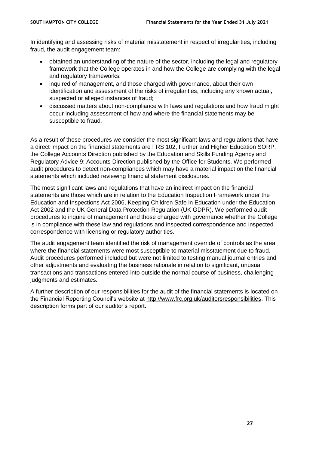In identifying and assessing risks of material misstatement in respect of irregularities, including fraud, the audit engagement team:

- obtained an understanding of the nature of the sector, including the legal and regulatory framework that the College operates in and how the College are complying with the legal and regulatory frameworks;
- inquired of management, and those charged with governance, about their own identification and assessment of the risks of irregularities, including any known actual, suspected or alleged instances of fraud;
- discussed matters about non-compliance with laws and regulations and how fraud might occur including assessment of how and where the financial statements may be susceptible to fraud.

As a result of these procedures we consider the most significant laws and regulations that have a direct impact on the financial statements are FRS 102, Further and Higher Education SORP, the College Accounts Direction published by the Education and Skills Funding Agency and Regulatory Advice 9: Accounts Direction published by the Office for Students. We performed audit procedures to detect non-compliances which may have a material impact on the financial statements which included reviewing financial statement disclosures.

The most significant laws and regulations that have an indirect impact on the financial statements are those which are in relation to the Education Inspection Framework under the Education and Inspections Act 2006, Keeping Children Safe in Education under the Education Act 2002 and the UK General Data Protection Regulation (UK GDPR). We performed audit procedures to inquire of management and those charged with governance whether the College is in compliance with these law and regulations and inspected correspondence and inspected correspondence with licensing or regulatory authorities.

The audit engagement team identified the risk of management override of controls as the area where the financial statements were most susceptible to material misstatement due to fraud. Audit procedures performed included but were not limited to testing manual journal entries and other adjustments and evaluating the business rationale in relation to significant, unusual transactions and transactions entered into outside the normal course of business, challenging judgments and estimates.

A further description of our responsibilities for the audit of the financial statements is located on the Financial Reporting Council's website at [http://www.frc.org.uk/auditorsresponsibilities.](http://www.frc.org.uk/auditorsresponsibilities) This description forms part of our auditor's report.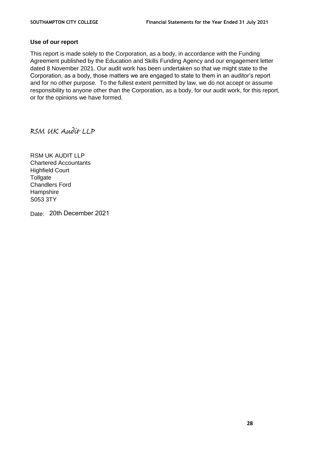#### **Use of our report**

This report is made solely to the Corporation, as a body, in accordance with the Funding Agreement published by the Education and Skills Funding Agency and our engagement letter dated 8 November 2021. Our audit work has been undertaken so that we might state to the Corporation, as a body, those matters we are engaged to state to them in an auditor's report and for no other purpose. To the fullest extent permitted by law, we do not accept or assume responsibility to anyone other than the Corporation, as a body, for our audit work, for this report, or for the opinions we have formed.

RSM UK Audit LLP

RSM UK AUDIT LLP Chartered Accountants Highfield Court **Tollgate** Chandlers Ford Hampshire S053 3TY

Date: 20th December 2021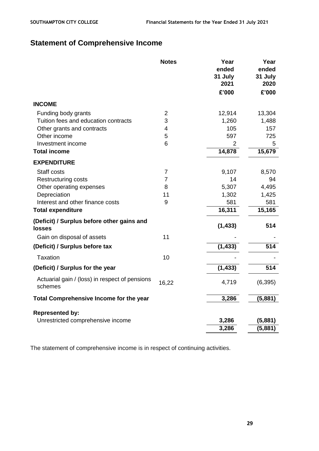# **Statement of Comprehensive Income**

|                                                             | <b>Notes</b>    | Year<br>ended<br>31 July<br>2021 | Year<br>ended<br>31 July<br>2020 |
|-------------------------------------------------------------|-----------------|----------------------------------|----------------------------------|
|                                                             |                 | £'000                            | £'000                            |
| <b>INCOME</b>                                               |                 |                                  |                                  |
| Funding body grants                                         | $\overline{2}$  | 12,914                           | 13,304                           |
| Tuition fees and education contracts                        | 3               | 1,260                            | 1,488                            |
| Other grants and contracts                                  | 4               | 105                              | 157                              |
| Other income                                                | 5               | 597                              | 725                              |
| Investment income                                           | $6\phantom{1}6$ | $\overline{2}$                   | 5                                |
| <b>Total income</b>                                         |                 | 14,878                           | 15,679                           |
| <b>EXPENDITURE</b>                                          |                 |                                  |                                  |
| Staff costs                                                 | $\overline{7}$  | 9,107                            | 8,570                            |
| <b>Restructuring costs</b>                                  | $\overline{7}$  | 14                               | 94                               |
| Other operating expenses                                    | 8               | 5,307                            | 4,495                            |
| Depreciation                                                | 11              | 1,302                            | 1,425                            |
| Interest and other finance costs                            | 9               | 581                              | 581                              |
| <b>Total expenditure</b>                                    |                 | 16,311                           | 15,165                           |
| (Deficit) / Surplus before other gains and<br><b>losses</b> |                 | (1, 433)                         | 514                              |
| Gain on disposal of assets                                  | 11              |                                  |                                  |
| (Deficit) / Surplus before tax                              |                 | (1, 433)                         | 514                              |
| Taxation                                                    | 10              |                                  |                                  |
| (Deficit) / Surplus for the year                            |                 | (1, 433)                         | 514                              |
| Actuarial gain / (loss) in respect of pensions<br>schemes   | 16,22           | 4,719                            | (6, 395)                         |
| Total Comprehensive Income for the year                     |                 | 3,286                            | (5,881)                          |
| <b>Represented by:</b>                                      |                 |                                  |                                  |
| Unrestricted comprehensive income                           |                 | 3,286                            | (5,881)                          |
|                                                             |                 | 3,286                            | (5,881)                          |
|                                                             |                 |                                  |                                  |

The statement of comprehensive income is in respect of continuing activities.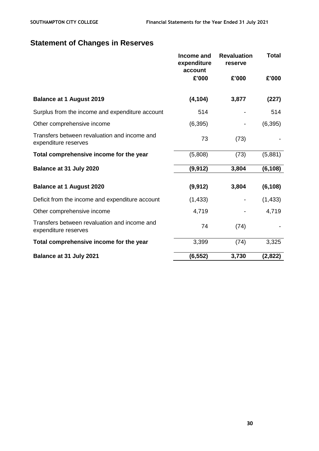# **Statement of Changes in Reserves**

|                                                                      | Income and<br>expenditure<br>account | <b>Revaluation</b><br>reserve | <b>Total</b> |
|----------------------------------------------------------------------|--------------------------------------|-------------------------------|--------------|
|                                                                      | £'000                                | £'000                         | £'000        |
| <b>Balance at 1 August 2019</b>                                      | (4, 104)                             | 3,877                         | (227)        |
| Surplus from the income and expenditure account                      | 514                                  |                               | 514          |
| Other comprehensive income                                           | (6, 395)                             |                               | (6, 395)     |
| Transfers between revaluation and income and<br>expenditure reserves | 73                                   | (73)                          |              |
| Total comprehensive income for the year                              | (5,808)                              | (73)                          | (5,881)      |
| Balance at 31 July 2020                                              | (9, 912)                             | 3,804                         | (6, 108)     |
| <b>Balance at 1 August 2020</b>                                      | (9, 912)                             | 3,804                         | (6, 108)     |
| Deficit from the income and expenditure account                      | (1, 433)                             |                               | (1, 433)     |
| Other comprehensive income                                           | 4,719                                |                               | 4,719        |
| Transfers between revaluation and income and<br>expenditure reserves | 74                                   | (74)                          |              |
| Total comprehensive income for the year                              | 3,399                                | (74)                          | 3,325        |
| Balance at 31 July 2021                                              | (6, 552)                             | 3,730                         | (2,822)      |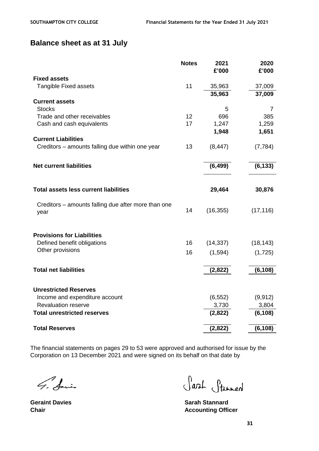# **Balance sheet as at 31 July**

|                                                             | <b>Notes</b> | 2021<br>£'000 | 2020<br>£'000 |
|-------------------------------------------------------------|--------------|---------------|---------------|
| <b>Fixed assets</b>                                         |              |               |               |
| <b>Tangible Fixed assets</b>                                | 11           | 35,963        | 37,009        |
|                                                             |              | 35,963        | 37,009        |
| <b>Current assets</b>                                       |              |               |               |
| <b>Stocks</b>                                               |              | 5             | 7             |
| Trade and other receivables                                 | 12           | 696           | 385           |
| Cash and cash equivalents                                   | 17           | 1,247         | 1,259         |
|                                                             |              | 1,948         | 1,651         |
| <b>Current Liabilities</b>                                  |              |               |               |
| Creditors – amounts falling due within one year             | 13           | (8, 447)      | (7, 784)      |
| <b>Net current liabilities</b>                              |              | (6, 499)      | (6, 133)      |
|                                                             |              |               |               |
| <b>Total assets less current liabilities</b>                |              | 29,464        | 30,876        |
| Creditors - amounts falling due after more than one<br>year | 14           | (16, 355)     | (17, 116)     |
|                                                             |              |               |               |
| <b>Provisions for Liabilities</b>                           |              |               |               |
| Defined benefit obligations                                 | 16           | (14, 337)     | (18, 143)     |
| Other provisions                                            | 16           | (1,594)       | (1,725)       |
| <b>Total net liabilities</b>                                |              | (2,822)       | (6, 108)      |
|                                                             |              |               |               |
| <b>Unrestricted Reserves</b>                                |              |               |               |
| Income and expenditure account                              |              | (6, 552)      | (9, 912)      |
| <b>Revaluation reserve</b>                                  |              | 3,730         | 3,804         |
| <b>Total unrestricted reserves</b>                          |              | (2,822)       | (6, 108)      |
| <b>Total Reserves</b>                                       |              | (2,822)       | (6, 108)      |

The financial statements on pages 29 to 53 were approved and authorised for issue by the Corporation on 13 December 2021 and were signed on its behalf on that date by

G. Sains

Sarah Stannard

**Geraint Davies Sarah Stannard Chair Accounting Officer**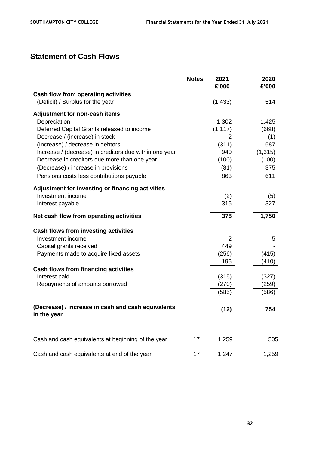# **Statement of Cash Flows**

|                                                                   | <b>Notes</b> | 2021<br>£'000  | 2020<br>£'000 |
|-------------------------------------------------------------------|--------------|----------------|---------------|
| <b>Cash flow from operating activities</b>                        |              |                |               |
| (Deficit) / Surplus for the year                                  |              | (1, 433)       | 514           |
| Adjustment for non-cash items                                     |              |                |               |
| Depreciation                                                      |              | 1,302          | 1,425         |
| Deferred Capital Grants released to income                        |              | (1, 117)       | (668)         |
| Decrease / (increase) in stock                                    |              | $\overline{2}$ | (1)           |
| (Increase) / decrease in debtors                                  |              | (311)          | 587           |
| Increase / (decrease) in creditors due within one year            |              | 940            | (1, 315)      |
| Decrease in creditors due more than one year                      |              | (100)          | (100)         |
| (Decrease) / increase in provisions                               |              | (81)           | 375           |
| Pensions costs less contributions payable                         |              | 863            | 611           |
| Adjustment for investing or financing activities                  |              |                |               |
| Investment income                                                 |              | (2)            | (5)           |
| Interest payable                                                  |              | 315            | 327           |
| Net cash flow from operating activities                           |              | 378            | 1,750         |
| Cash flows from investing activities                              |              |                |               |
| Investment income                                                 |              | $\overline{2}$ | 5             |
| Capital grants received                                           |              | 449            |               |
| Payments made to acquire fixed assets                             |              | (256)          | (415)         |
|                                                                   |              | 195            | (410)         |
| <b>Cash flows from financing activities</b>                       |              |                |               |
| Interest paid                                                     |              | (315)          | (327)         |
| Repayments of amounts borrowed                                    |              | (270)          | (259)         |
|                                                                   |              | (585)          | (586)         |
| (Decrease) / increase in cash and cash equivalents<br>in the year |              | (12)           | 754           |
|                                                                   |              |                |               |
| Cash and cash equivalents at beginning of the year                | 17           | 1,259          | 505           |
| Cash and cash equivalents at end of the year                      | 17           | 1,247          | 1,259         |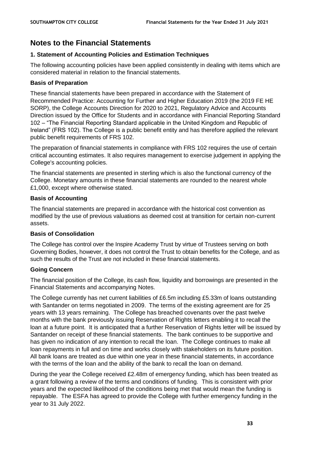# **Notes to the Financial Statements**

# **1. Statement of Accounting Policies and Estimation Techniques**

The following accounting policies have been applied consistently in dealing with items which are considered material in relation to the financial statements.

# **Basis of Preparation**

These financial statements have been prepared in accordance with the Statement of Recommended Practice: Accounting for Further and Higher Education 2019 (the 2019 FE HE SORP), the College Accounts Direction for 2020 to 2021, Regulatory Advice and Accounts Direction issued by the Office for Students and in accordance with Financial Reporting Standard 102 – "The Financial Reporting Standard applicable in the United Kingdom and Republic of Ireland" (FRS 102). The College is a public benefit entity and has therefore applied the relevant public benefit requirements of FRS 102.

The preparation of financial statements in compliance with FRS 102 requires the use of certain critical accounting estimates. It also requires management to exercise judgement in applying the College's accounting policies.

The financial statements are presented in sterling which is also the functional currency of the College. Monetary amounts in these financial statements are rounded to the nearest whole £1,000, except where otherwise stated.

# **Basis of Accounting**

The financial statements are prepared in accordance with the historical cost convention as modified by the use of previous valuations as deemed cost at transition for certain non-current assets.

# **Basis of Consolidation**

The College has control over the Inspire Academy Trust by virtue of Trustees serving on both Governing Bodies, however, it does not control the Trust to obtain benefits for the College, and as such the results of the Trust are not included in these financial statements.

# **Going Concern**

The financial position of the College, its cash flow, liquidity and borrowings are presented in the Financial Statements and accompanying Notes.

The College currently has net current liabilities of £6.5m including £5.33m of loans outstanding with Santander on terms negotiated in 2009. The terms of the existing agreement are for 25 years with 13 years remaining. The College has breached covenants over the past twelve months with the bank previously issuing Reservation of Rights letters enabling it to recall the loan at a future point. It is anticipated that a further Reservation of Rights letter will be issued by Santander on receipt of these financial statements. The bank continues to be supportive and has given no indication of any intention to recall the loan. The College continues to make all loan repayments in full and on time and works closely with stakeholders on its future position. All bank loans are treated as due within one year in these financial statements, in accordance with the terms of the loan and the ability of the bank to recall the loan on demand.

During the year the College received £2.48m of emergency funding, which has been treated as a grant following a review of the terms and conditions of funding. This is consistent with prior years and the expected likelihood of the conditions being met that would mean the funding is repayable. The ESFA has agreed to provide the College with further emergency funding in the year to 31 July 2022.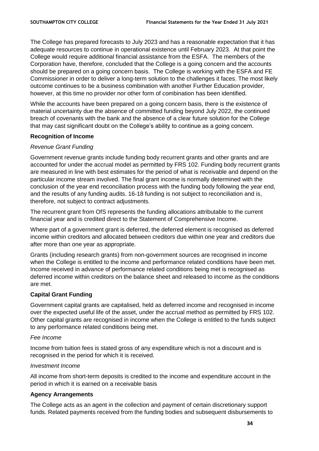The College has prepared forecasts to July 2023 and has a reasonable expectation that it has adequate resources to continue in operational existence until February 2023. At that point the College would require additional financial assistance from the ESFA. The members of the Corporation have, therefore, concluded that the College is a going concern and the accounts should be prepared on a going concern basis. The College is working with the ESFA and FE Commissioner in order to deliver a long-term solution to the challenges it faces. The most likely outcome continues to be a business combination with another Further Education provider, however, at this time no provider nor other form of combination has been identified.

While the accounts have been prepared on a going concern basis, there is the existence of material uncertainty due the absence of committed funding beyond July 2022, the continued breach of covenants with the bank and the absence of a clear future solution for the College that may cast significant doubt on the College's ability to continue as a going concern.

#### **Recognition of Income**

# *Revenue Grant Funding*

Government revenue grants include funding body recurrent grants and other grants and are accounted for under the accrual model as permitted by FRS 102. Funding body recurrent grants are measured in line with best estimates for the period of what is receivable and depend on the particular income stream involved. The final grant income is normally determined with the conclusion of the year end reconciliation process with the funding body following the year end, and the results of any funding audits. 16-18 funding is not subject to reconciliation and is, therefore, not subject to contract adjustments.

The recurrent grant from OfS represents the funding allocations attributable to the current financial year and is credited direct to the Statement of Comprehensive Income.

Where part of a government grant is deferred, the deferred element is recognised as deferred income within creditors and allocated between creditors due within one year and creditors due after more than one year as appropriate.

Grants (including research grants) from non-government sources are recognised in income when the College is entitled to the income and performance related conditions have been met. Income received in advance of performance related conditions being met is recognised as deferred income within creditors on the balance sheet and released to income as the conditions are met.

# **Capital Grant Funding**

Government capital grants are capitalised, held as deferred income and recognised in income over the expected useful life of the asset, under the accrual method as permitted by FRS 102. Other capital grants are recognised in income when the College is entitled to the funds subject to any performance related conditions being met.

#### *Fee Income*

Income from tuition fees is stated gross of any expenditure which is not a discount and is recognised in the period for which it is received.

#### *Investment Income*

All income from short-term deposits is credited to the income and expenditure account in the period in which it is earned on a receivable basis

#### **Agency Arrangements**

The College acts as an agent in the collection and payment of certain discretionary support funds. Related payments received from the funding bodies and subsequent disbursements to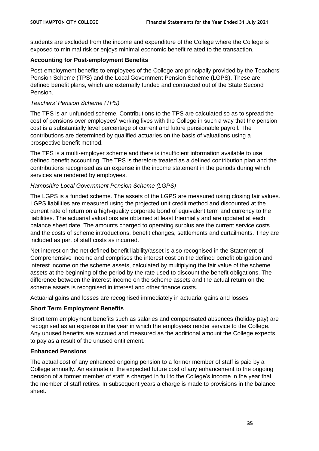students are excluded from the income and expenditure of the College where the College is exposed to minimal risk or enjoys minimal economic benefit related to the transaction.

# **Accounting for Post-employment Benefits**

Post-employment benefits to employees of the College are principally provided by the Teachers' Pension Scheme (TPS) and the Local Government Pension Scheme (LGPS). These are defined benefit plans, which are externally funded and contracted out of the State Second Pension.

# *Teachers' Pension Scheme (TPS)*

The TPS is an unfunded scheme. Contributions to the TPS are calculated so as to spread the cost of pensions over employees' working lives with the College in such a way that the pension cost is a substantially level percentage of current and future pensionable payroll. The contributions are determined by qualified actuaries on the basis of valuations using a prospective benefit method.

The TPS is a multi-employer scheme and there is insufficient information available to use defined benefit accounting. The TPS is therefore treated as a defined contribution plan and the contributions recognised as an expense in the income statement in the periods during which services are rendered by employees.

# *Hampshire Local Government Pension Scheme (LGPS)*

The LGPS is a funded scheme. The assets of the LGPS are measured using closing fair values. LGPS liabilities are measured using the projected unit credit method and discounted at the current rate of return on a high-quality corporate bond of equivalent term and currency to the liabilities. The actuarial valuations are obtained at least triennially and are updated at each balance sheet date. The amounts charged to operating surplus are the current service costs and the costs of scheme introductions, benefit changes, settlements and curtailments. They are included as part of staff costs as incurred.

Net interest on the net defined benefit liability/asset is also recognised in the Statement of Comprehensive Income and comprises the interest cost on the defined benefit obligation and interest income on the scheme assets, calculated by multiplying the fair value of the scheme assets at the beginning of the period by the rate used to discount the benefit obligations. The difference between the interest income on the scheme assets and the actual return on the scheme assets is recognised in interest and other finance costs.

Actuarial gains and losses are recognised immediately in actuarial gains and losses.

# **Short Term Employment Benefits**

Short term employment benefits such as salaries and compensated absences (holiday pay) are recognised as an expense in the year in which the employees render service to the College. Any unused benefits are accrued and measured as the additional amount the College expects to pay as a result of the unused entitlement.

# **Enhanced Pensions**

The actual cost of any enhanced ongoing pension to a former member of staff is paid by a College annually. An estimate of the expected future cost of any enhancement to the ongoing pension of a former member of staff is charged in full to the College's income in the year that the member of staff retires. In subsequent years a charge is made to provisions in the balance sheet.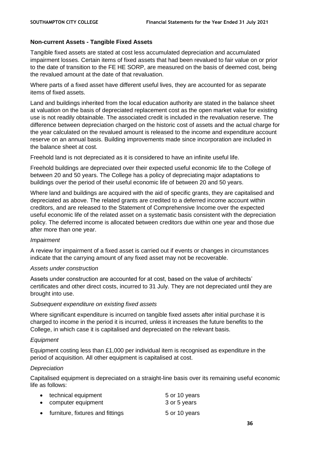# **Non-current Assets - Tangible Fixed Assets**

Tangible fixed assets are stated at cost less accumulated depreciation and accumulated impairment losses. Certain items of fixed assets that had been revalued to fair value on or prior to the date of transition to the FE HE SORP, are measured on the basis of deemed cost, being the revalued amount at the date of that revaluation.

Where parts of a fixed asset have different useful lives, they are accounted for as separate items of fixed assets.

Land and buildings inherited from the local education authority are stated in the balance sheet at valuation on the basis of depreciated replacement cost as the open market value for existing use is not readily obtainable. The associated credit is included in the revaluation reserve. The difference between depreciation charged on the historic cost of assets and the actual charge for the year calculated on the revalued amount is released to the income and expenditure account reserve on an annual basis. Building improvements made since incorporation are included in the balance sheet at cost.

Freehold land is not depreciated as it is considered to have an infinite useful life.

Freehold buildings are depreciated over their expected useful economic life to the College of between 20 and 50 years. The College has a policy of depreciating major adaptations to buildings over the period of their useful economic life of between 20 and 50 years.

Where land and buildings are acquired with the aid of specific grants, they are capitalised and depreciated as above. The related grants are credited to a deferred income account within creditors, and are released to the Statement of Comprehensive Income over the expected useful economic life of the related asset on a systematic basis consistent with the depreciation policy. The deferred income is allocated between creditors due within one year and those due after more than one year.

#### *Impairment*

A review for impairment of a fixed asset is carried out if events or changes in circumstances indicate that the carrying amount of any fixed asset may not be recoverable.

#### *Assets under construction*

Assets under construction are accounted for at cost, based on the value of architects' certificates and other direct costs, incurred to 31 July. They are not depreciated until they are brought into use.

#### *Subsequent expenditure on existing fixed assets*

Where significant expenditure is incurred on tangible fixed assets after initial purchase it is charged to income in the period it is incurred, unless it increases the future benefits to the College, in which case it is capitalised and depreciated on the relevant basis.

#### *Equipment*

Equipment costing less than £1,000 per individual item is recognised as expenditure in the period of acquisition. All other equipment is capitalised at cost.

#### *Depreciation*

Capitalised equipment is depreciated on a straight-line basis over its remaining useful economic life as follows:

| • technical equipment              | 5 or 10 years |
|------------------------------------|---------------|
| • computer equipment               | 3 or 5 years  |
| • furniture, fixtures and fittings | 5 or 10 years |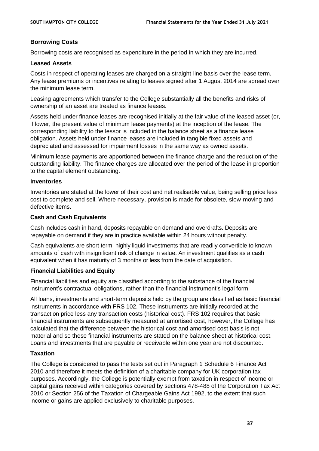# **Borrowing Costs**

Borrowing costs are recognised as expenditure in the period in which they are incurred.

#### **Leased Assets**

Costs in respect of operating leases are charged on a straight-line basis over the lease term. Any lease premiums or incentives relating to leases signed after 1 August 2014 are spread over the minimum lease term.

Leasing agreements which transfer to the College substantially all the benefits and risks of ownership of an asset are treated as finance leases.

Assets held under finance leases are recognised initially at the fair value of the leased asset (or, if lower, the present value of minimum lease payments) at the inception of the lease. The corresponding liability to the lessor is included in the balance sheet as a finance lease obligation. Assets held under finance leases are included in tangible fixed assets and depreciated and assessed for impairment losses in the same way as owned assets.

Minimum lease payments are apportioned between the finance charge and the reduction of the outstanding liability. The finance charges are allocated over the period of the lease in proportion to the capital element outstanding.

#### **Inventories**

Inventories are stated at the lower of their cost and net realisable value, being selling price less cost to complete and sell. Where necessary, provision is made for obsolete, slow-moving and defective items.

#### **Cash and Cash Equivalents**

Cash includes cash in hand, deposits repayable on demand and overdrafts. Deposits are repayable on demand if they are in practice available within 24 hours without penalty.

Cash equivalents are short term, highly liquid investments that are readily convertible to known amounts of cash with insignificant risk of change in value. An investment qualifies as a cash equivalent when it has maturity of 3 months or less from the date of acquisition.

# **Financial Liabilities and Equity**

Financial liabilities and equity are classified according to the substance of the financial instrument's contractual obligations, rather than the financial instrument's legal form.

All loans, investments and short-term deposits held by the group are classified as basic financial instruments in accordance with FRS 102. These instruments are initially recorded at the transaction price less any transaction costs (historical cost). FRS 102 requires that basic financial instruments are subsequently measured at amortised cost, however, the College has calculated that the difference between the historical cost and amortised cost basis is not material and so these financial instruments are stated on the balance sheet at historical cost. Loans and investments that are payable or receivable within one year are not discounted.

# **Taxation**

The College is considered to pass the tests set out in Paragraph 1 Schedule 6 Finance Act 2010 and therefore it meets the definition of a charitable company for UK corporation tax purposes. Accordingly, the College is potentially exempt from taxation in respect of income or capital gains received within categories covered by sections 478-488 of the Corporation Tax Act 2010 or Section 256 of the Taxation of Chargeable Gains Act 1992, to the extent that such income or gains are applied exclusively to charitable purposes.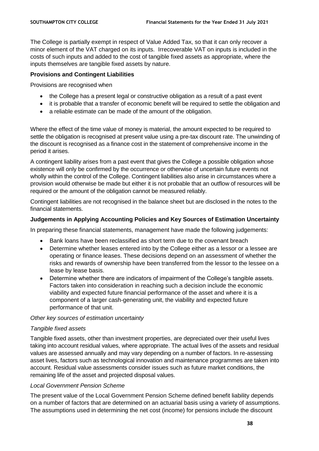The College is partially exempt in respect of Value Added Tax, so that it can only recover a minor element of the VAT charged on its inputs. Irrecoverable VAT on inputs is included in the costs of such inputs and added to the cost of tangible fixed assets as appropriate, where the inputs themselves are tangible fixed assets by nature.

# **Provisions and Contingent Liabilities**

Provisions are recognised when

- the College has a present legal or constructive obligation as a result of a past event
- it is probable that a transfer of economic benefit will be required to settle the obligation and
- a reliable estimate can be made of the amount of the obligation.

Where the effect of the time value of money is material, the amount expected to be required to settle the obligation is recognised at present value using a pre-tax discount rate. The unwinding of the discount is recognised as a finance cost in the statement of comprehensive income in the period it arises.

A contingent liability arises from a past event that gives the College a possible obligation whose existence will only be confirmed by the occurrence or otherwise of uncertain future events not wholly within the control of the College. Contingent liabilities also arise in circumstances where a provision would otherwise be made but either it is not probable that an outflow of resources will be required or the amount of the obligation cannot be measured reliably.

Contingent liabilities are not recognised in the balance sheet but are disclosed in the notes to the financial statements.

# **Judgements in Applying Accounting Policies and Key Sources of Estimation Uncertainty**

In preparing these financial statements, management have made the following judgements:

- Bank loans have been reclassified as short term due to the covenant breach
- Determine whether leases entered into by the College either as a lessor or a lessee are operating or finance leases. These decisions depend on an assessment of whether the risks and rewards of ownership have been transferred from the lessor to the lessee on a lease by lease basis.
- Determine whether there are indicators of impairment of the College's tangible assets. Factors taken into consideration in reaching such a decision include the economic viability and expected future financial performance of the asset and where it is a component of a larger cash-generating unit, the viability and expected future performance of that unit.

# *Other key sources of estimation uncertainty*

# *Tangible fixed assets*

Tangible fixed assets, other than investment properties, are depreciated over their useful lives taking into account residual values, where appropriate. The actual lives of the assets and residual values are assessed annually and may vary depending on a number of factors. In re-assessing asset lives, factors such as technological innovation and maintenance programmes are taken into account. Residual value assessments consider issues such as future market conditions, the remaining life of the asset and projected disposal values.

# *Local Government Pension Scheme*

The present value of the Local Government Pension Scheme defined benefit liability depends on a number of factors that are determined on an actuarial basis using a variety of assumptions. The assumptions used in determining the net cost (income) for pensions include the discount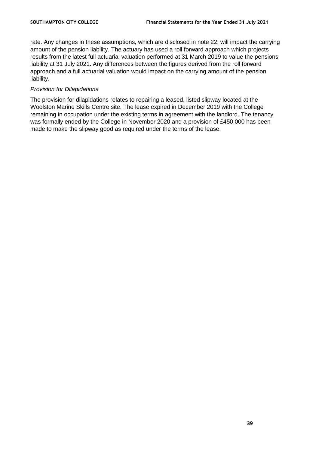rate. Any changes in these assumptions, which are disclosed in note 22, will impact the carrying amount of the pension liability. The actuary has used a roll forward approach which projects results from the latest full actuarial valuation performed at 31 March 2019 to value the pensions liability at 31 July 2021. Any differences between the figures derived from the roll forward approach and a full actuarial valuation would impact on the carrying amount of the pension liability.

# *Provision for Dilapidations*

The provision for dilapidations relates to repairing a leased, listed slipway located at the Woolston Marine Skills Centre site. The lease expired in December 2019 with the College remaining in occupation under the existing terms in agreement with the landlord. The tenancy was formally ended by the College in November 2020 and a provision of £450,000 has been made to make the slipway good as required under the terms of the lease.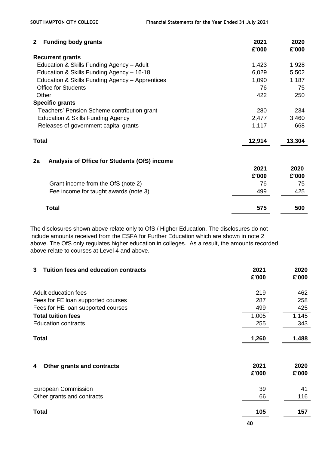| $\mathbf{2}$ | <b>Funding body grants</b>                      | 2021<br>£'000 | 2020<br>£'000 |
|--------------|-------------------------------------------------|---------------|---------------|
|              | <b>Recurrent grants</b>                         |               |               |
|              | Education & Skills Funding Agency - Adult       | 1,423         | 1,928         |
|              | Education & Skills Funding Agency - 16-18       | 6,029         | 5,502         |
|              | Education & Skills Funding Agency - Apprentices | 1,090         | 1,187         |
|              | <b>Office for Students</b>                      | 76            | 75            |
| Other        |                                                 | 422           | 250           |
|              | <b>Specific grants</b>                          |               |               |
|              | Teachers' Pension Scheme contribution grant     | 280           | 234           |
|              | Education & Skills Funding Agency               | 2,477         | 3,460         |
|              | Releases of government capital grants           | 1,117         | 668           |
| <b>Total</b> |                                                 | 12,914        | 13,304        |
| 2a           | Analysis of Office for Students (OfS) income    |               |               |
|              |                                                 | 2021          | 2020          |
|              |                                                 | £'000         | £'000         |
|              | Grant income from the OfS (note 2)              | 76            | 75            |
|              | Fee income for taught awards (note 3)           | 499           | 425           |
|              | <b>Total</b>                                    | 575           | 500           |

The disclosures shown above relate only to OfS / Higher Education. The disclosures do not include amounts received from the ESFA for Further Education which are shown in note 2 above. The OfS only regulates higher education in colleges. As a result, the amounts recorded above relate to courses at Level 4 and above.

| <b>Tuition fees and education contracts</b><br>3 | 2021<br>£'000 | 2020<br>£'000 |
|--------------------------------------------------|---------------|---------------|
| Adult education fees                             | 219           | 462           |
| Fees for FE loan supported courses               | 287           | 258           |
| Fees for HE loan supported courses               | 499           | 425           |
| <b>Total tuition fees</b>                        | 1,005         | 1,145         |
| <b>Education contracts</b>                       | 255           | 343           |
| <b>Total</b>                                     | 1,260         | 1,488         |
| Other grants and contracts<br>4                  | 2021<br>£'000 | 2020<br>£'000 |
| <b>European Commission</b>                       | 39            | 41            |
| Other grants and contracts                       | 66            | 116           |
| <b>Total</b>                                     | 105           | 157           |
|                                                  | 40            |               |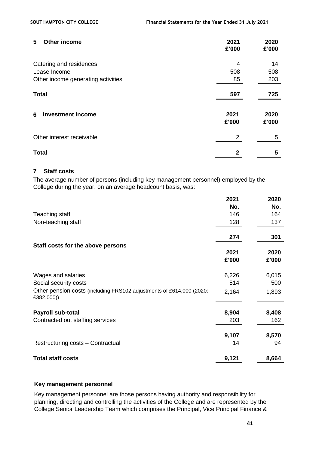# **5 Other income 2021 2020**

| ັ<br><b>UULU INVUNT</b>            | LVL I<br>£'000 | LVLV<br>£'000 |
|------------------------------------|----------------|---------------|
| Catering and residences            | 4              | 14            |
| Lease Income                       | 508            | 508           |
| Other income generating activities | 85             | 203           |
| <b>Total</b>                       | 597            | 725           |
| <b>Investment income</b><br>6      | 2021<br>£'000  | 2020<br>£'000 |
| Other interest receivable          | 2              | 5             |
| <b>Total</b>                       | 2              | 5             |

#### **7 Staff costs**

The average number of persons (including key management personnel) employed by the College during the year, on an average headcount basis, was:

|                                                                                    | 2021  | 2020  |
|------------------------------------------------------------------------------------|-------|-------|
|                                                                                    | No.   | No.   |
| Teaching staff                                                                     | 146   | 164   |
| Non-teaching staff                                                                 | 128   | 137   |
|                                                                                    | 274   | 301   |
| Staff costs for the above persons                                                  |       |       |
|                                                                                    | 2021  | 2020  |
|                                                                                    | £'000 | £'000 |
| Wages and salaries                                                                 | 6,226 | 6,015 |
| Social security costs                                                              | 514   | 500   |
| Other pension costs (including FRS102 adjustments of £614,000 (2020:<br>£382,000)) | 2,164 | 1,893 |
| Payroll sub-total                                                                  | 8,904 | 8,408 |
| Contracted out staffing services                                                   | 203   | 162   |
|                                                                                    | 9,107 | 8,570 |
| Restructuring costs - Contractual                                                  | 14    | 94    |
| <b>Total staff costs</b>                                                           | 9,121 | 8,664 |

#### **Key management personnel**

Key management personnel are those persons having authority and responsibility for planning, directing and controlling the activities of the College and are represented by the College Senior Leadership Team which comprises the Principal, Vice Principal Finance &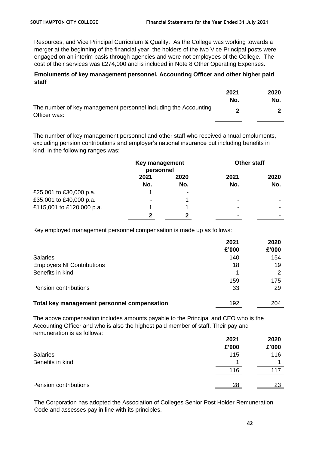Resources, and Vice Principal Curriculum & Quality. As the College was working towards a merger at the beginning of the financial year, the holders of the two Vice Principal posts were engaged on an interim basis through agencies and were not employees of the College. The cost of their services was £274,000 and is included in Note 8 Other Operating Expenses.

#### **Emoluments of key management personnel, Accounting Officer and other higher paid staff**

|                                                                                 | 2021<br>No. | 2020<br>No. |
|---------------------------------------------------------------------------------|-------------|-------------|
| The number of key management personnel including the Accounting<br>Officer was: |             |             |

The number of key management personnel and other staff who received annual emoluments, excluding pension contributions and employer's national insurance but including benefits in kind, in the following ranges was:

|                           | Key management<br>personnel |      | <b>Other staff</b>       |      |
|---------------------------|-----------------------------|------|--------------------------|------|
|                           | 2021                        | 2020 | 2021                     | 2020 |
|                           | No.                         | No.  | No.                      | No.  |
| £25,001 to £30,000 p.a.   |                             | -    |                          |      |
| £35,001 to £40,000 p.a.   |                             |      | -                        |      |
| £115,001 to £120,000 p.a. |                             |      | $\overline{\phantom{a}}$ |      |
|                           | າ                           | כי   | $\blacksquare$           |      |

Key employed management personnel compensation is made up as follows:

|                                             | 2021<br>£'000 | 2020<br>£'000 |
|---------------------------------------------|---------------|---------------|
| <b>Salaries</b>                             | 140           | 154           |
| <b>Employers NI Contributions</b>           | 18            | 19            |
| Benefits in kind                            |               | 2             |
|                                             | 159           | 175           |
| Pension contributions                       | 33            | 29            |
|                                             |               |               |
| Total key management personnel compensation | 192           | 204           |

The above compensation includes amounts payable to the Principal and CEO who is the Accounting Officer and who is also the highest paid member of staff. Their pay and remuneration is as follows:

|                       | 2021  | 2020  |
|-----------------------|-------|-------|
|                       | £'000 | £'000 |
| <b>Salaries</b>       | 115   | 116   |
| Benefits in kind      | 4     |       |
|                       | 116   | 117   |
| Pension contributions | 28    | 23    |

The Corporation has adopted the Association of Colleges Senior Post Holder Remuneration Code and assesses pay in line with its principles.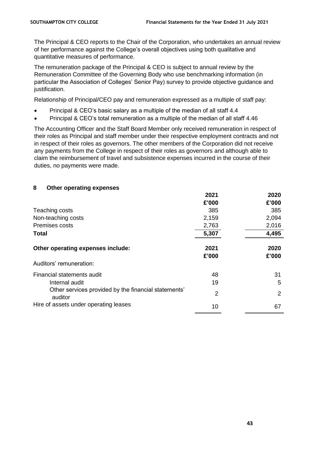The Principal & CEO reports to the Chair of the Corporation, who undertakes an annual review of her performance against the College's overall objectives using both qualitative and quantitative measures of performance.

The remuneration package of the Principal & CEO is subject to annual review by the Remuneration Committee of the Governing Body who use benchmarking information (in particular the Association of Colleges' Senior Pay) survey to provide objective guidance and justification.

Relationship of Principal/CEO pay and remuneration expressed as a multiple of staff pay:

- Principal & CEO's basic salary as a multiple of the median of all staff 4.4
- Principal & CEO's total remuneration as a multiple of the median of all staff 4.46

The Accounting Officer and the Staff Board Member only received remuneration in respect of their roles as Principal and staff member under their respective employment contracts and not in respect of their roles as governors. The other members of the Corporation did not receive any payments from the College in respect of their roles as governors and although able to claim the reimbursement of travel and subsistence expenses incurred in the course of their duties, no payments were made.

# **8 Other operating expenses**

|                                                                 | 2021  | 2020  |
|-----------------------------------------------------------------|-------|-------|
|                                                                 | £'000 | £'000 |
| Teaching costs                                                  | 385   | 385   |
| Non-teaching costs                                              | 2,159 | 2,094 |
| Premises costs                                                  | 2,763 | 2,016 |
| <b>Total</b>                                                    | 5,307 | 4,495 |
|                                                                 |       |       |
| Other operating expenses include:                               | 2021  | 2020  |
|                                                                 | £'000 | £'000 |
| Auditors' remuneration:                                         |       |       |
| Financial statements audit                                      | 48    | 31    |
| Internal audit                                                  | 19    | 5     |
| Other services provided by the financial statements'<br>auditor | 2     | 2     |
| Hire of assets under operating leases                           | 10    | 67    |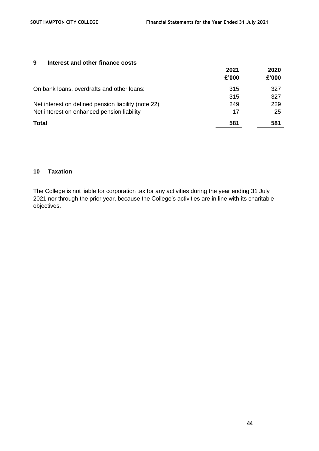#### **9 Interest and other finance costs**

|                                                     | 2021<br>£'000 | 2020<br>£'000 |
|-----------------------------------------------------|---------------|---------------|
| On bank loans, overdrafts and other loans:          | 315           | 327           |
|                                                     | 315           | 327           |
| Net interest on defined pension liability (note 22) | 249           | 229           |
| Net interest on enhanced pension liability          | 17            | 25            |
| <b>Total</b>                                        | 581           | 581           |

# **10 Taxation**

The College is not liable for corporation tax for any activities during the year ending 31 July 2021 nor through the prior year, because the College's activities are in line with its charitable objectives.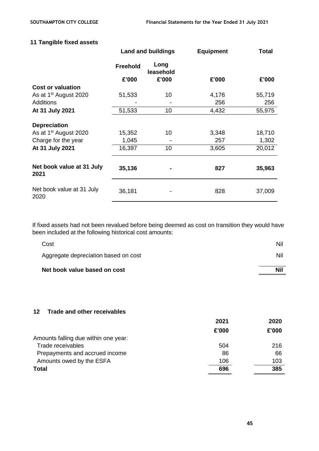# **11 Tangible fixed assets**

|                                   | <b>Land and buildings</b> |                   | <b>Equipment</b> | Total  |  |
|-----------------------------------|---------------------------|-------------------|------------------|--------|--|
|                                   | <b>Freehold</b>           | Long<br>leasehold |                  |        |  |
|                                   | £'000                     | £'000             | £'000            | £'000  |  |
| <b>Cost or valuation</b>          |                           |                   |                  |        |  |
| As at 1 <sup>st</sup> August 2020 | 51,533                    | 10                | 4,176            | 55,719 |  |
| <b>Additions</b>                  |                           |                   | 256              | 256    |  |
| At 31 July 2021                   | 51,533                    | 10                | 4,432            | 55,975 |  |
| <b>Depreciation</b>               |                           |                   |                  |        |  |
| As at 1 <sup>st</sup> August 2020 | 15,352                    | 10                | 3,348            | 18,710 |  |
| Charge for the year               | 1,045                     |                   | 257              | 1,302  |  |
| At 31 July 2021                   | 16,397                    | 10                | 3,605            | 20,012 |  |
| Net book value at 31 July<br>2021 | 35,136                    |                   | 827              | 35,963 |  |
| Net book value at 31 July<br>2020 | 36,181                    |                   | 828              | 37,009 |  |

If fixed assets had not been revalued before being deemed as cost on transition they would have been included at the following historical cost amounts:

| Net book value based on cost         | <b>Nil</b> |
|--------------------------------------|------------|
| Aggregate depreciation based on cost | Nil        |
| Cost                                 | Nil        |

## **12 Trade and other receivables**

|                                      | 2021  | 2020  |
|--------------------------------------|-------|-------|
|                                      | £'000 | £'000 |
| Amounts falling due within one year: |       |       |
| Trade receivables                    | 504   | 216   |
| Prepayments and accrued income       | 86    | 66    |
| Amounts owed by the ESFA             | 106   | 103   |
| <b>Total</b>                         | 696   | 385   |
|                                      |       |       |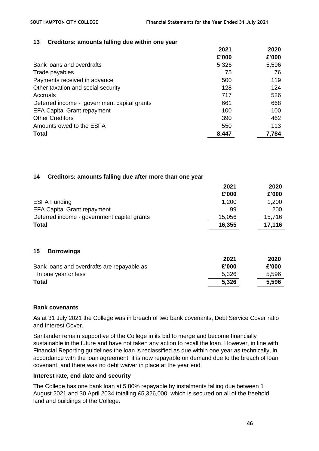#### **13 Creditors: amounts falling due within one year**

|                                             | 2021  | 2020  |
|---------------------------------------------|-------|-------|
|                                             | £'000 | £'000 |
| Bank loans and overdrafts                   | 5,326 | 5,596 |
| Trade payables                              | 75    | 76    |
| Payments received in advance                | 500   | 119   |
| Other taxation and social security          | 128   | 124   |
| Accruals                                    | 717   | 526   |
| Deferred income - government capital grants | 661   | 668   |
| <b>EFA Capital Grant repayment</b>          | 100   | 100   |
| <b>Other Creditors</b>                      | 390   | 462   |
| Amounts owed to the ESFA                    | 550   | 113   |
| <b>Total</b>                                | 8,447 | 7,784 |

#### **14 Creditors: amounts falling due after more than one year**

|                                             | 2021   | 2020   |
|---------------------------------------------|--------|--------|
|                                             | £'000  | £'000  |
| <b>ESFA Funding</b>                         | 1,200  | 1,200  |
| <b>EFA Capital Grant repayment</b>          | 99     | 200    |
| Deferred income - government capital grants | 15,056 | 15,716 |
| <b>Total</b>                                | 16,355 | 17,116 |
| 15<br><b>Borrowings</b>                     |        |        |
|                                             | 2021   | 2020   |
| Bank loans and overdrafts are repayable as  | £'000  | £'000  |
| In one year or less                         | 5,326  | 5,596  |
| <b>Total</b>                                | 5,326  | 5,596  |

#### **Bank covenants**

As at 31 July 2021 the College was in breach of two bank covenants, Debt Service Cover ratio and Interest Cover.

Santander remain supportive of the College in its bid to merge and become financially sustainable in the future and have not taken any action to recall the loan. However, in line with Financial Reporting guidelines the loan is reclassified as due within one year as technically, in accordance with the loan agreement, it is now repayable on demand due to the breach of loan covenant, and there was no debt waiver in place at the year end.

#### **Interest rate, end date and security**

The College has one bank loan at 5.80% repayable by instalments falling due between 1 August 2021 and 30 April 2034 totalling £5,326,000, which is secured on all of the freehold land and buildings of the College.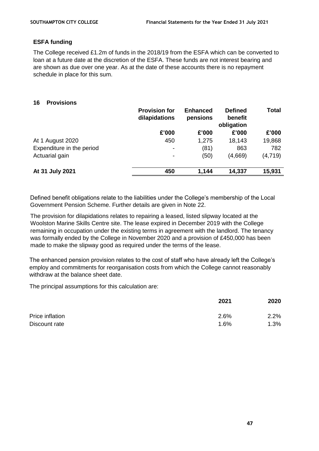#### **ESFA funding**

The College received £1.2m of funds in the 2018/19 from the ESFA which can be converted to loan at a future date at the discretion of the ESFA. These funds are not interest bearing and are shown as due over one year. As at the date of these accounts there is no repayment schedule in place for this sum.

#### **16 Provisions**

|                           | <b>Provision for</b><br>dilapidations | <b>Enhanced</b><br>pensions | <b>Defined</b><br>benefit<br>obligation | <b>Total</b> |
|---------------------------|---------------------------------------|-----------------------------|-----------------------------------------|--------------|
|                           | £'000                                 | £'000                       | £'000                                   | £'000        |
| At 1 August 2020          | 450                                   | 1,275                       | 18,143                                  | 19,868       |
| Expenditure in the period | $\overline{\phantom{a}}$              | (81)                        | 863                                     | 782          |
| Actuarial gain            | -                                     | (50)                        | (4,669)                                 | (4, 719)     |
| At 31 July 2021           | 450                                   | 1,144                       | 14,337                                  | 15,931       |

Defined benefit obligations relate to the liabilities under the College's membership of the Local Government Pension Scheme. Further details are given in Note 22.

The provision for dilapidations relates to repairing a leased, listed slipway located at the Woolston Marine Skills Centre site. The lease expired in December 2019 with the College remaining in occupation under the existing terms in agreement with the landlord. The tenancy was formally ended by the College in November 2020 and a provision of £450,000 has been made to make the slipway good as required under the terms of the lease.

The enhanced pension provision relates to the cost of staff who have already left the College's employ and commitments for reorganisation costs from which the College cannot reasonably withdraw at the balance sheet date.

The principal assumptions for this calculation are:

| 2021 | 2020 |
|------|------|
| 2.6% | 2.2% |
| 1.6% | 1.3% |
|      |      |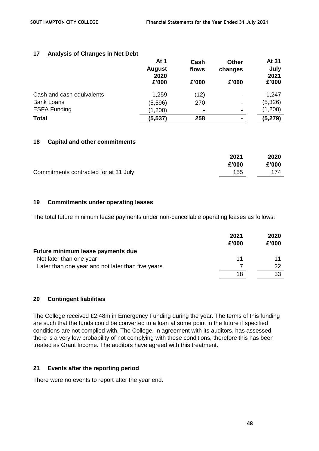## **17 Analysis of Changes in Net Debt**

|                           | At 1<br><b>August</b><br>2020 | Cash<br>flows | <b>Other</b><br>changes  | At 31<br>July<br>2021 |
|---------------------------|-------------------------------|---------------|--------------------------|-----------------------|
|                           | £'000                         | £'000         | £'000                    | £'000                 |
| Cash and cash equivalents | 1,259                         | (12)          | $\blacksquare$           | 1,247                 |
| <b>Bank Loans</b>         | (5,596)                       | 270           | $\overline{\phantom{a}}$ | (5,326)               |
| <b>ESFA Funding</b>       | (1,200)                       | -             | $\overline{\phantom{a}}$ | (1,200)               |
| <b>Total</b>              | (5, 537)                      | 258           | $\blacksquare$           | (5, 279)              |

#### **18 Capital and other commitments**

|                                       | 2021  | 2020  |
|---------------------------------------|-------|-------|
|                                       | £'000 | £'000 |
| Commitments contracted for at 31 July | 155   | 174   |

## **19 Commitments under operating leases**

The total future minimum lease payments under non-cancellable operating leases as follows:

|                                                   | 2021  | 2020  |
|---------------------------------------------------|-------|-------|
|                                                   | £'000 | £'000 |
| Future minimum lease payments due                 |       |       |
| Not later than one year                           | 11    |       |
| Later than one year and not later than five years |       | 22    |
|                                                   | 18    | 33    |

#### **20 Contingent liabilities**

The College received £2.48m in Emergency Funding during the year. The terms of this funding are such that the funds could be converted to a loan at some point in the future if specified conditions are not complied with. The College, in agreement with its auditors, has assessed there is a very low probability of not complying with these conditions, therefore this has been treated as Grant Income. The auditors have agreed with this treatment.

#### **21 Events after the reporting period**

There were no events to report after the year end.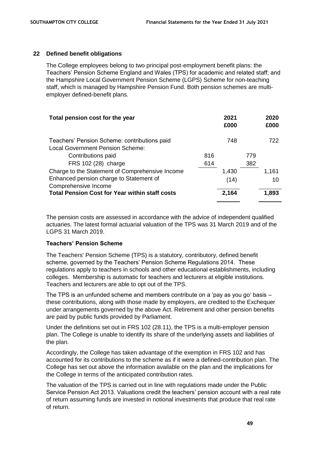#### **22 Defined benefit obligations**

The College employees belong to two principal post-employment benefit plans: the Teachers' Pension Scheme England and Wales (TPS) for academic and related staff; and the Hampshire Local Government Pension Scheme (LGPS) Scheme for non-teaching staff, which is managed by Hampshire Pension Fund. Both pension schemes are multiemployer defined-benefit plans.

| Total pension cost for the year                                 |     | 2021<br>£000 |     | 2020<br>£000 |
|-----------------------------------------------------------------|-----|--------------|-----|--------------|
| Teachers' Pension Scheme: contributions paid                    |     | 748          |     | 722          |
| <b>Local Government Pension Scheme:</b>                         |     |              |     |              |
| Contributions paid                                              | 816 |              | 779 |              |
| FRS 102 (28) charge                                             | 614 |              | 382 |              |
| Charge to the Statement of Comprehensive Income                 |     | 1,430        |     | 1,161        |
| Enhanced pension charge to Statement of<br>Comprehensive Income |     | (14)         |     | 10           |
| <b>Total Pension Cost for Year within staff costs</b>           |     | 2,164        |     | 1,893        |

The pension costs are assessed in accordance with the advice of independent qualified actuaries. The latest formal actuarial valuation of the TPS was 31 March 2019 and of the LGPS 31 March 2019.

#### **Teachers' Pension Scheme**

The Teachers' Pension Scheme (TPS) is a statutory, contributory, defined benefit scheme, governed by the Teachers' Pension Scheme Regulations 2014. These regulations apply to teachers in schools and other educational establishments, including colleges. Membership is automatic for teachers and lecturers at eligible institutions. Teachers and lecturers are able to opt out of the TPS.

The TPS is an unfunded scheme and members contribute on a 'pay as you go' basis – these contributions, along with those made by employers, are credited to the Exchequer under arrangements governed by the above Act. Retirement and other pension benefits are paid by public funds provided by Parliament.

Under the definitions set out in FRS 102 (28.11), the TPS is a multi-employer pension plan. The College is unable to identify its share of the underlying assets and liabilities of the plan.

Accordingly, the College has taken advantage of the exemption in FRS 102 and has accounted for its contributions to the scheme as if it were a defined-contribution plan. The College has set out above the information available on the plan and the implications for the College in terms of the anticipated contribution rates.

The valuation of the TPS is carried out in line with regulations made under the Public Service Pension Act 2013. Valuations credit the teachers' pension account with a real rate of return assuming funds are invested in notional investments that produce that real rate of return.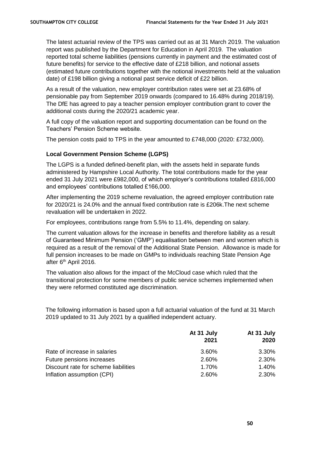The latest actuarial review of the TPS was carried out as at 31 March 2019. The valuation report was published by the Department for Education in April 2019. The valuation reported total scheme liabilities (pensions currently in payment and the estimated cost of future benefits) for service to the effective date of £218 billion, and notional assets (estimated future contributions together with the notional investments held at the valuation date) of £198 billion giving a notional past service deficit of £22 billion.

As a result of the valuation, new employer contribution rates were set at 23.68% of pensionable pay from September 2019 onwards (compared to 16.48% during 2018/19). The DfE has agreed to pay a teacher pension employer contribution grant to cover the additional costs during the 2020/21 academic year.

A full copy of the valuation report and supporting documentation can be found on the Teachers' Pension Scheme website.

The pension costs paid to TPS in the year amounted to £748,000 (2020: £732,000).

#### **Local Government Pension Scheme (LGPS)**

The LGPS is a funded defined-benefit plan, with the assets held in separate funds administered by Hampshire Local Authority. The total contributions made for the year ended 31 July 2021 were £982,000, of which employer's contributions totalled £816,000 and employees' contributions totalled £166,000.

After implementing the 2019 scheme revaluation, the agreed employer contribution rate for 2020/21 is 24.0% and the annual fixed contribution rate is £206k.The next scheme revaluation will be undertaken in 2022.

For employees, contributions range from 5.5% to 11.4%, depending on salary.

The current valuation allows for the increase in benefits and therefore liability as a result of Guaranteed Minimum Pension ('GMP') equalisation between men and women which is required as a result of the removal of the Additional State Pension. Allowance is made for full pension increases to be made on GMPs to individuals reaching State Pension Age after 6<sup>th</sup> April 2016.

The valuation also allows for the impact of the McCloud case which ruled that the transitional protection for some members of public service schemes implemented when they were reformed constituted age discrimination.

The following information is based upon a full actuarial valuation of the fund at 31 March 2019 updated to 31 July 2021 by a qualified independent actuary.

|                                      | At 31 July<br>2021 | At 31 July<br>2020 |
|--------------------------------------|--------------------|--------------------|
| Rate of increase in salaries         | 3.60%              | 3.30%              |
| Future pensions increases            | 2.60%              | 2.30%              |
| Discount rate for scheme liabilities | 1.70%              | 1.40%              |
| Inflation assumption (CPI)           | 2.60%              | 2.30%              |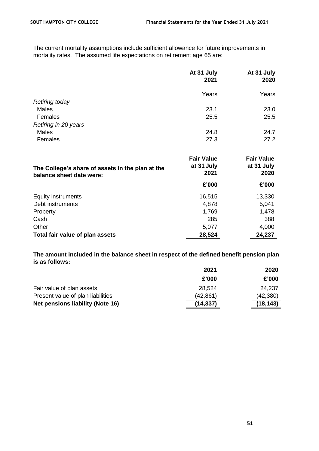The current mortality assumptions include sufficient allowance for future improvements in mortality rates. The assumed life expectations on retirement age 65 are:

|                                                  | At 31 July<br>2021              | At 31 July<br>2020              |
|--------------------------------------------------|---------------------------------|---------------------------------|
|                                                  | Years                           | Years                           |
| <b>Retiring today</b>                            |                                 |                                 |
| <b>Males</b>                                     | 23.1                            | 23.0                            |
| Females                                          | 25.5                            | 25.5                            |
| Retiring in 20 years                             |                                 |                                 |
| <b>Males</b>                                     | 24.8                            | 24.7                            |
| Females                                          | 27.3                            | 27.2                            |
| The College's share of assets in the plan at the | <b>Fair Value</b><br>at 31 July | <b>Fair Value</b><br>at 31 July |
| balance sheet date were:                         | 2021                            | 2020                            |
|                                                  | £'000                           | £'000                           |
| <b>Equity instruments</b>                        | 16,515                          | 13,330                          |
| Debt instruments                                 | 4,878                           | 5,041                           |
| Property                                         | 1,769                           | 1,478                           |
| Cash                                             | 285                             | 388                             |
| Other                                            | 5,077                           | 4,000                           |
| Total fair value of plan assets                  | 28,524                          | 24,237                          |

**The amount included in the balance sheet in respect of the defined benefit pension plan is as follows:**

|                                   | 2021      | 2020      |
|-----------------------------------|-----------|-----------|
|                                   | £'000     | £'000     |
| Fair value of plan assets         | 28.524    | 24,237    |
| Present value of plan liabilities | (42,861)  | (42, 380) |
| Net pensions liability (Note 16)  | (14, 337) | (18, 143) |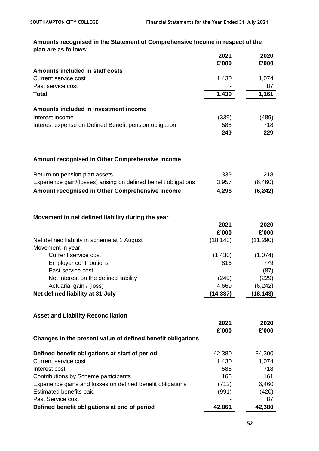# **Amounts recognised in the Statement of Comprehensive Income in respect of the plan are as follows:**

|                                                                 | 2021      | 2020        |
|-----------------------------------------------------------------|-----------|-------------|
|                                                                 | £'000     | £'000       |
| Amounts included in staff costs                                 |           |             |
| <b>Current service cost</b>                                     | 1,430     | 1,074       |
| Past service cost<br><b>Total</b>                               | 1,430     | 87<br>1,161 |
|                                                                 |           |             |
| Amounts included in investment income                           |           |             |
| Interest income                                                 | (339)     | (489)       |
| Interest expense on Defined Benefit pension obligation          | 588       | 718         |
|                                                                 | 249       | 229         |
|                                                                 |           |             |
| Amount recognised in Other Comprehensive Income                 |           |             |
| Return on pension plan assets                                   | 339       | 218         |
| Experience gain/(losses) arising on defined benefit obligations | 3,957     | (6, 460)    |
| Amount recognised in Other Comprehensive Income                 | 4,296     | (6, 242)    |
|                                                                 |           |             |
|                                                                 |           |             |
| Movement in net defined liability during the year               |           |             |
|                                                                 | 2021      | 2020        |
|                                                                 | £'000     | £'000       |
| Net defined liability in scheme at 1 August                     | (18, 143) | (11, 290)   |
| Movement in year:                                               |           |             |
| <b>Current service cost</b>                                     | (1,430)   | (1,074)     |
| <b>Employer contributions</b>                                   | 816       | 779         |
| Past service cost                                               |           | (87)        |
| Net interest on the defined liability                           | (249)     | (229)       |
| Actuarial gain / (loss)                                         | 4,669     | (6, 242)    |
| Net defined liability at 31 July                                | (14, 337) | (18, 143)   |
|                                                                 |           |             |
| <b>Asset and Liability Reconciliation</b>                       |           |             |
|                                                                 | 2021      | 2020        |
|                                                                 | £'000     | £'000       |
| Changes in the present value of defined benefit obligations     |           |             |
| Defined benefit obligations at start of period                  | 42,380    | 34,300      |
| <b>Current service cost</b>                                     | 1,430     | 1,074       |
| Interest cost                                                   | 588       | 718         |
| Contributions by Scheme participants                            | 166       | 161         |
| Experience gains and losses on defined benefit obligations      | (712)     | 6,460       |
| Estimated benefits paid                                         | (991)     | (420)       |
| Past Service cost                                               |           | 87          |
| Defined benefit obligations at end of period                    | 42,861    | 42,380      |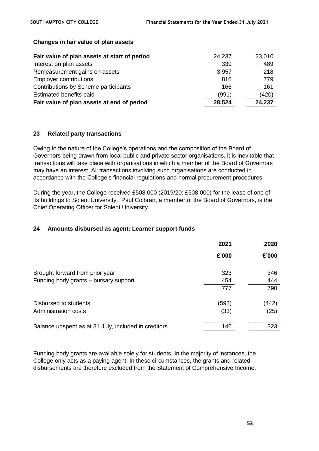| Fair value of plan assets at start of period | 24,237 | 23,010 |
|----------------------------------------------|--------|--------|
| Interest on plan assets                      | 339    | 489    |
| Remeasurement gains on assets                | 3,957  | 218    |
| <b>Employer contributions</b>                | 816    | 779    |
| Contributions by Scheme participants         | 166    | 161    |
| Estimated benefits paid                      | (991)  | (420)  |
| Fair value of plan assets at end of period   | 28,524 | 24,237 |

#### **Changes in fair value of plan assets**

#### **23 Related party transactions**

Owing to the nature of the College's operations and the composition of the Board of Governors being drawn from local public and private sector organisations, it is inevitable that transactions will take place with organisations in which a member of the Board of Governors may have an interest. All transactions involving such organisations are conducted in accordance with the College's financial regulations and normal procurement procedures.

During the year, the College received £508,000 (2019/20: £508,000) for the lease of one of its buildings to Solent University. Paul Colbran, a member of the Board of Governors, is the Chief Operating Officer for Solent University.

#### **24 Amounts disbursed as agent: Learner support funds**

|                                                      | 2021  | 2020  |
|------------------------------------------------------|-------|-------|
|                                                      | £'000 | £'000 |
| Brought forward from prior year                      | 323   | 346   |
| Funding body grants - bursary support                | 454   | 444   |
|                                                      | 777   | 790   |
| Disbursed to students                                | (598) | (442) |
| Administration costs                                 | (33)  | (25)  |
| Balance unspent as at 31 July, included in creditors | 146   | 323   |

Funding body grants are available solely for students. In the majority of instances, the College only acts as a paying agent. In these circumstances, the grants and related disbursements are therefore excluded from the Statement of Comprehensive Income.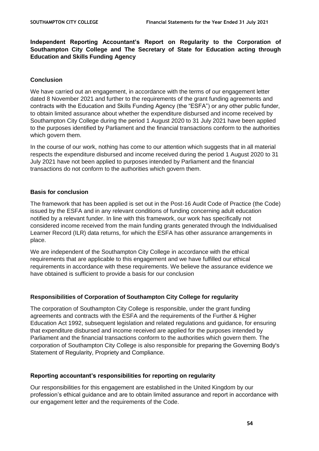**Independent Reporting Accountant's Report on Regularity to the Corporation of Southampton City College and The Secretary of State for Education acting through Education and Skills Funding Agency**

## **Conclusion**

We have carried out an engagement, in accordance with the terms of our engagement letter dated 8 November 2021 and further to the requirements of the grant funding agreements and contracts with the Education and Skills Funding Agency (the "ESFA") or any other public funder, to obtain limited assurance about whether the expenditure disbursed and income received by Southampton City College during the period 1 August 2020 to 31 July 2021 have been applied to the purposes identified by Parliament and the financial transactions conform to the authorities which govern them.

In the course of our work, nothing has come to our attention which suggests that in all material respects the expenditure disbursed and income received during the period 1 August 2020 to 31 July 2021 have not been applied to purposes intended by Parliament and the financial transactions do not conform to the authorities which govern them.

# **Basis for conclusion**

The framework that has been applied is set out in the Post-16 Audit Code of Practice (the Code) issued by the ESFA and in any relevant conditions of funding concerning adult education notified by a relevant funder. In line with this framework, our work has specifically not considered income received from the main funding grants generated through the Individualised Learner Record (ILR) data returns, for which the ESFA has other assurance arrangements in place.

We are independent of the Southampton City College in accordance with the ethical requirements that are applicable to this engagement and we have fulfilled our ethical requirements in accordance with these requirements. We believe the assurance evidence we have obtained is sufficient to provide a basis for our conclusion

# **Responsibilities of Corporation of Southampton City College for regularity**

The corporation of Southampton City College is responsible, under the grant funding agreements and contracts with the ESFA and the requirements of the Further & Higher Education Act 1992, subsequent legislation and related regulations and guidance, for ensuring that expenditure disbursed and income received are applied for the purposes intended by Parliament and the financial transactions conform to the authorities which govern them. The corporation of Southampton City College is also responsible for preparing the Governing Body's Statement of Regularity, Propriety and Compliance.

#### **Reporting accountant's responsibilities for reporting on regularity**

Our responsibilities for this engagement are established in the United Kingdom by our profession's ethical guidance and are to obtain limited assurance and report in accordance with our engagement letter and the requirements of the Code.